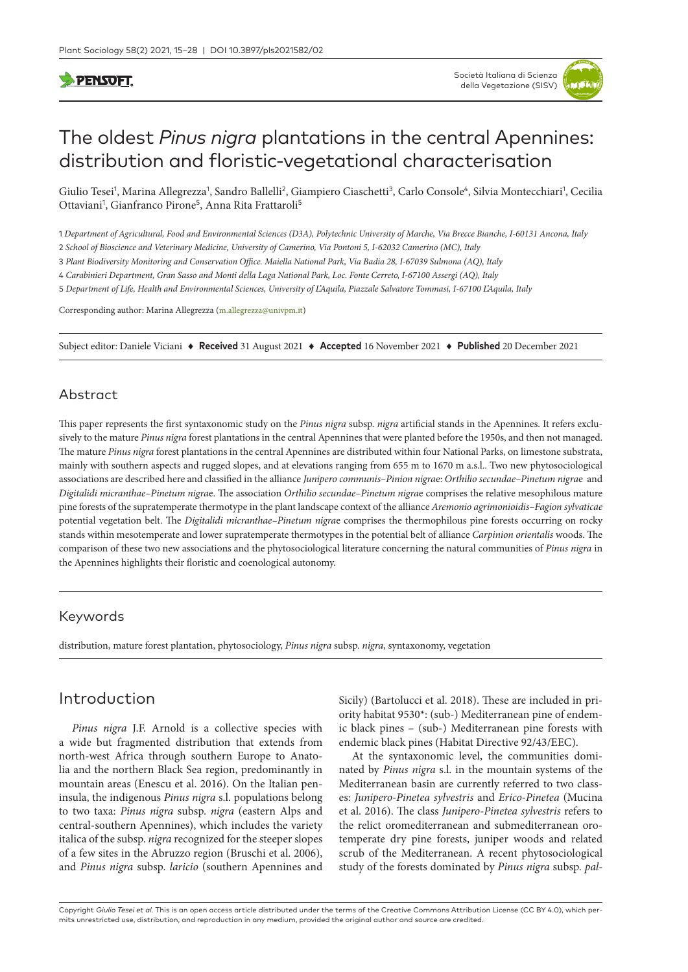# **PENSOFT**

# The oldest *Pinus nigra* plantations in the central Apennines: distribution and floristic-vegetational characterisation

Giulio Tesei<sup>1</sup>, Marina Allegrezza<sup>1</sup>, Sandro Ballelli<sup>2</sup>, Giampiero Ciaschetti<sup>3</sup>, Carlo Console<sup>4</sup>, Silvia Montecchiari<sup>1</sup>, Cecilia Ottaviani<sup>1</sup>, Gianfranco Pirone<sup>5</sup>, Anna Rita Frattaroli<sup>5</sup>

1 *Department of Agricultural, Food and Environmental Sciences (D3A), Polytechnic University of Marche, Via Brecce Bianche, I-60131 Ancona, Italy*

2 *School of Bioscience and Veterinary Medicine, University of Camerino, Via Pontoni 5, I-62032 Camerino (MC), Italy*

3 *Plant Biodiversity Monitoring and Conservation Office. Maiella National Park, Via Badia 28, I-67039 Sulmona (AQ), Italy*

4 *Carabinieri Department, Gran Sasso and Monti della Laga National Park, Loc. Fonte Cerreto, I-67100 Assergi (AQ), Italy*

5 *Department of Life, Health and Environmental Sciences, University of L'Aquila, Piazzale Salvatore Tommasi, I-67100 L'Aquila, Italy*

Corresponding author: Marina Allegrezza ([m.allegrezza@univpm.it](mailto:m.allegrezza@univpm.it))

Subject editor: Daniele Viciani ♦ **Received** 31 August 2021 ♦ **Accepted** 16 November 2021 ♦ **Published** 20 December 2021

### Abstract

This paper represents the first syntaxonomic study on the *Pinus nigra* subsp. *nigra* artificial stands in the Apennines. It refers exclusively to the mature *Pinus nigra* forest plantations in the central Apennines that were planted before the 1950s, and then not managed. The mature *Pinus nigra* forest plantations in the central Apennines are distributed within four National Parks, on limestone substrata, mainly with southern aspects and rugged slopes, and at elevations ranging from 655 m to 1670 m a.s.l.. Two new phytosociological associations are described here and classified in the alliance *Junipero communis–Pinion nigra*e: *Orthilio secundae–Pinetum nigra*e and *Digitalidi micranthae–Pinetum nigra*e. The association *Orthilio secundae–Pinetum nigra*e comprises the relative mesophilous mature pine forests of the supratemperate thermotype in the plant landscape context of the alliance *Aremonio agrimonioidis–Fagion sylvaticae* potential vegetation belt. The *Digitalidi micranthae–Pinetum nigra*e comprises the thermophilous pine forests occurring on rocky stands within mesotemperate and lower supratemperate thermotypes in the potential belt of alliance *Carpinion orientalis* woods. The comparison of these two new associations and the phytosociological literature concerning the natural communities of *Pinus nigra* in the Apennines highlights their floristic and coenological autonomy.

# Keywords

distribution, mature forest plantation, phytosociology, *Pinus nigra* subsp. *nigra*, syntaxonomy, vegetation

# Introduction

*Pinus nigra* J.F. Arnold is a collective species with a wide but fragmented distribution that extends from north-west Africa through southern Europe to Anatolia and the northern Black Sea region, predominantly in mountain areas (Enescu et al. 2016). On the Italian peninsula, the indigenous *Pinus nigra* s.l. populations belong to two taxa: *Pinus nigra* subsp. *nigra* (eastern Alps and central-southern Apennines), which includes the variety italica of the subsp. *nigra* recognized for the steeper slopes of a few sites in the Abruzzo region (Bruschi et al. 2006), and *Pinus nigra* subsp. *laricio* (southern Apennines and Sicily) (Bartolucci et al. 2018). These are included in priority habitat 9530\*: (sub-) Mediterranean pine of endemic black pines – (sub-) Mediterranean pine forests with endemic black pines (Habitat Directive 92/43/EEC).

At the syntaxonomic level, the communities dominated by *Pinus nigra* s.l. in the mountain systems of the Mediterranean basin are currently referred to two classes: *Junipero-Pinetea sylvestris* and *Erico-Pinetea* (Mucina et al. 2016). The class *Junipero-Pinetea sylvestris* refers to the relict oromediterranean and submediterranean orotemperate dry pine forests, juniper woods and related scrub of the Mediterranean. A recent phytosociological study of the forests dominated by *Pinus nigra* subsp. *pal-*

Copyright *Giulio Tesei et al.* This is an open access article distributed under the terms of the [Creative Commons Attribution License \(CC BY 4.0\)](http://creativecommons.org/licenses/by/4.0/), which permits unrestricted use, distribution, and reproduction in any medium, provided the original author and source are credited.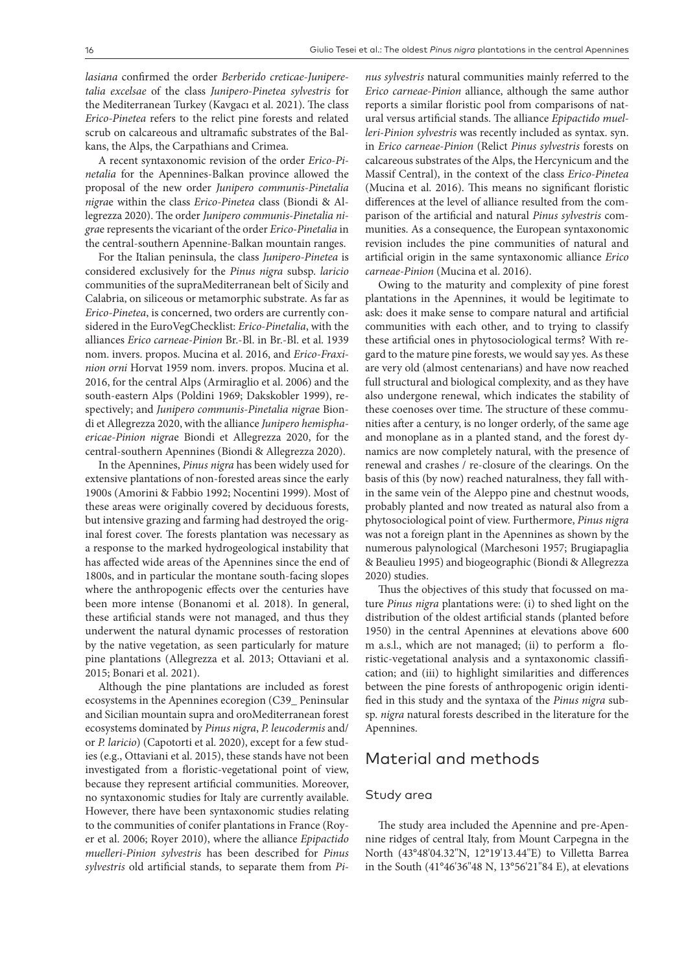*lasiana* confirmed the order *Berberido creticae-Juniperetalia excelsae* of the class *Junipero-Pinetea sylvestris* for the Mediterranean Turkey (Kavgacı et al. 2021). The class *Erico-Pinetea* refers to the relict pine forests and related scrub on calcareous and ultramafic substrates of the Balkans, the Alps, the Carpathians and Crimea.

A recent syntaxonomic revision of the order *Erico-Pinetalia* for the Apennines-Balkan province allowed the proposal of the new order *Junipero communis-Pinetalia nigra*e within the class *Erico-Pinetea* class (Biondi & Allegrezza 2020). The order *Junipero communis-Pinetalia nigra*e represents the vicariant of the order *Erico-Pinetalia* in the central-southern Apennine-Balkan mountain ranges.

For the Italian peninsula, the class *Junipero-Pinetea* is considered exclusively for the *Pinus nigra* subsp. *laricio* communities of the supraMediterranean belt of Sicily and Calabria, on siliceous or metamorphic substrate. As far as *Erico-Pinetea*, is concerned, two orders are currently considered in the EuroVegChecklist: *Erico-Pinetalia*, with the alliances *Erico carneae-Pinion* Br.-Bl. in Br.-Bl. et al. 1939 nom. invers. propos. Mucina et al. 2016, and *Erico-Fraxinion orni* Horvat 1959 nom. invers. propos. Mucina et al. 2016, for the central Alps (Armiraglio et al. 2006) and the south-eastern Alps (Poldini 1969; Dakskobler 1999), respectively; and *Junipero communis-Pinetalia nigra*e Biondi et Allegrezza 2020, with the alliance *Junipero hemisphaericae-Pinion nigra*e Biondi et Allegrezza 2020, for the central-southern Apennines (Biondi & Allegrezza 2020).

In the Apennines, *Pinus nigra* has been widely used for extensive plantations of non-forested areas since the early 1900s (Amorini & Fabbio 1992; Nocentini 1999). Most of these areas were originally covered by deciduous forests, but intensive grazing and farming had destroyed the original forest cover. The forests plantation was necessary as a response to the marked hydrogeological instability that has affected wide areas of the Apennines since the end of 1800s, and in particular the montane south-facing slopes where the anthropogenic effects over the centuries have been more intense (Bonanomi et al. 2018). In general, these artificial stands were not managed, and thus they underwent the natural dynamic processes of restoration by the native vegetation, as seen particularly for mature pine plantations (Allegrezza et al. 2013; Ottaviani et al. 2015; Bonari et al. 2021).

Although the pine plantations are included as forest ecosystems in the Apennines ecoregion (C39\_ Peninsular and Sicilian mountain supra and oroMediterranean forest ecosystems dominated by *Pinus nigra*, *P. leucodermis* and/ or *P. laricio*) (Capotorti et al. 2020), except for a few studies (e.g., Ottaviani et al. 2015), these stands have not been investigated from a floristic-vegetational point of view, because they represent artificial communities. Moreover, no syntaxonomic studies for Italy are currently available. However, there have been syntaxonomic studies relating to the communities of conifer plantations in France (Royer et al. 2006; Royer 2010), where the alliance *Epipactido muelleri-Pinion sylvestris* has been described for *Pinus sylvestris* old artificial stands, to separate them from *Pi-* *nus sylvestris* natural communities mainly referred to the *Erico carneae-Pinion* alliance, although the same author reports a similar floristic pool from comparisons of natural versus artificial stands. The alliance *Epipactido muelleri-Pinion sylvestris* was recently included as syntax. syn. in *Erico carneae-Pinion* (Relict *Pinus sylvestris* forests on calcareous substrates of the Alps, the Hercynicum and the Massif Central), in the context of the class *Erico-Pinetea*  (Mucina et al. 2016). This means no significant floristic differences at the level of alliance resulted from the comparison of the artificial and natural *Pinus sylvestris* communities. As a consequence, the European syntaxonomic revision includes the pine communities of natural and artificial origin in the same syntaxonomic alliance *Erico carneae-Pinion* (Mucina et al. 2016).

Owing to the maturity and complexity of pine forest plantations in the Apennines, it would be legitimate to ask: does it make sense to compare natural and artificial communities with each other, and to trying to classify these artificial ones in phytosociological terms? With regard to the mature pine forests, we would say yes. As these are very old (almost centenarians) and have now reached full structural and biological complexity, and as they have also undergone renewal, which indicates the stability of these coenoses over time. The structure of these communities after a century, is no longer orderly, of the same age and monoplane as in a planted stand, and the forest dynamics are now completely natural, with the presence of renewal and crashes / re-closure of the clearings. On the basis of this (by now) reached naturalness, they fall within the same vein of the Aleppo pine and chestnut woods, probably planted and now treated as natural also from a phytosociological point of view. Furthermore, *Pinus nigra* was not a foreign plant in the Apennines as shown by the numerous palynological (Marchesoni 1957; Brugiapaglia & Beaulieu 1995) and biogeographic (Biondi & Allegrezza 2020) studies.

Thus the objectives of this study that focussed on mature *Pinus nigra* plantations were: (i) to shed light on the distribution of the oldest artificial stands (planted before 1950) in the central Apennines at elevations above 600 m a.s.l., which are not managed; (ii) to perform a floristic-vegetational analysis and a syntaxonomic classification; and (iii) to highlight similarities and differences between the pine forests of anthropogenic origin identified in this study and the syntaxa of the *Pinus nigra* subsp. *nigra* natural forests described in the literature for the Apennines.

# Material and methods

### Study area

The study area included the Apennine and pre-Apennine ridges of central Italy, from Mount Carpegna in the North (43°48'04.32''N, 12°19'13.44''E) to Villetta Barrea in the South (41°46'36"48 N, 13°56'21"84 E), at elevations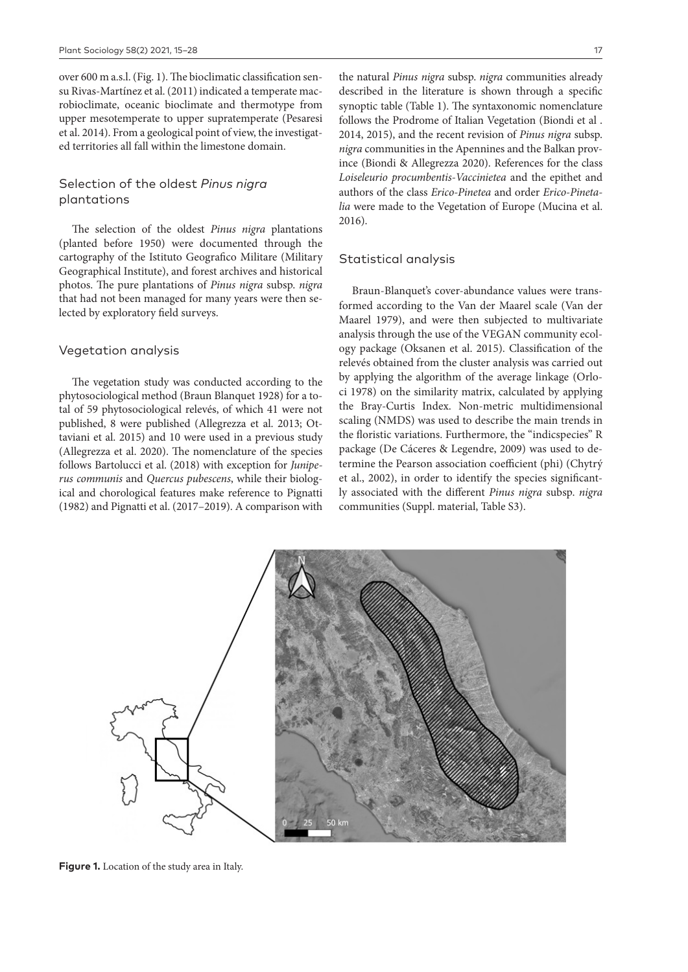over 600 m a.s.l. (Fig. 1). The bioclimatic classification sensu Rivas-Martínez et al. (2011) indicated a temperate macrobioclimate, oceanic bioclimate and thermotype from upper mesotemperate to upper supratemperate (Pesaresi et al. 2014). From a geological point of view, the investigated territories all fall within the limestone domain.

# Selection of the oldest *Pinus nigra* plantations

The selection of the oldest *Pinus nigra* plantations (planted before 1950) were documented through the cartography of the Istituto Geografico Militare (Military Geographical Institute), and forest archives and historical photos. The pure plantations of *Pinus nigra* subsp. *nigra* that had not been managed for many years were then selected by exploratory field surveys.

### Vegetation analysis

The vegetation study was conducted according to the phytosociological method (Braun Blanquet 1928) for a total of 59 phytosociological relevés, of which 41 were not published, 8 were published (Allegrezza et al. 2013; Ottaviani et al. 2015) and 10 were used in a previous study (Allegrezza et al. 2020). The nomenclature of the species follows Bartolucci et al. (2018) with exception for *Juniperus communis* and *Quercus pubescens*, while their biological and chorological features make reference to Pignatti (1982) and Pignatti et al. (2017–2019). A comparison with

the natural *Pinus nigra* subsp. *nigra* communities already described in the literature is shown through a specific synoptic table (Table 1). The syntaxonomic nomenclature follows the Prodrome of Italian Vegetation (Biondi et al . 2014, 2015), and the recent revision of *Pinus nigra* subsp. *nigra* communities in the Apennines and the Balkan province (Biondi & Allegrezza 2020). References for the class *Loiseleurio procumbentis-Vaccinietea* and the epithet and authors of the class *Erico-Pinetea* and order *Erico-Pinetalia* were made to the Vegetation of Europe (Mucina et al. 2016).

### Statistical analysis

Braun-Blanquet's cover-abundance values were transformed according to the Van der Maarel scale (Van der Maarel 1979), and were then subjected to multivariate analysis through the use of the VEGAN community ecology package (Oksanen et al. 2015). Classification of the relevés obtained from the cluster analysis was carried out by applying the algorithm of the average linkage (Orloci 1978) on the similarity matrix, calculated by applying the Bray-Curtis Index. Non-metric multidimensional scaling (NMDS) was used to describe the main trends in the floristic variations. Furthermore, the "indicspecies" R package (De Cáceres & Legendre, 2009) was used to determine the Pearson association coefficient (phi) (Chytrý et al., 2002), in order to identify the species significantly associated with the different *Pinus nigra* subsp. *nigra* communities (Suppl. material, Table S3).

**Figure 1.** Location of the study area in Italy.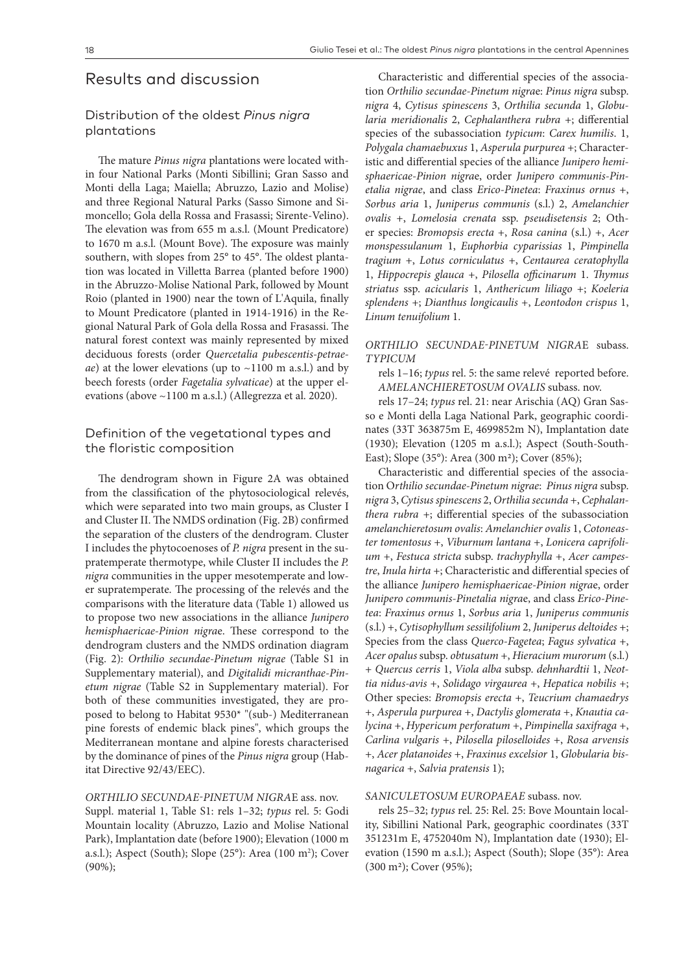# Results and discussion

# Distribution of the oldest *Pinus nigra* plantations

The mature *Pinus nigra* plantations were located within four National Parks (Monti Sibillini; Gran Sasso and Monti della Laga; Maiella; Abruzzo, Lazio and Molise) and three Regional Natural Parks (Sasso Simone and Simoncello; Gola della Rossa and Frasassi; Sirente-Velino). The elevation was from 655 m a.s.l. (Mount Predicatore) to 1670 m a.s.l. (Mount Bove). The exposure was mainly southern, with slopes from 25° to 45°. The oldest plantation was located in Villetta Barrea (planted before 1900) in the Abruzzo-Molise National Park, followed by Mount Roio (planted in 1900) near the town of L'Aquila, finally to Mount Predicatore (planted in 1914-1916) in the Regional Natural Park of Gola della Rossa and Frasassi. The natural forest context was mainly represented by mixed deciduous forests (order *Quercetalia pubescentis-petraeae*) at the lower elevations (up to ~1100 m a.s.l.) and by beech forests (order *Fagetalia sylvaticae*) at the upper elevations (above ~1100 m a.s.l.) (Allegrezza et al. 2020).

# Definition of the vegetational types and the floristic composition

The dendrogram shown in Figure 2A was obtained from the classification of the phytosociological relevés, which were separated into two main groups, as Cluster I and Cluster II. The NMDS ordination (Fig. 2B) confirmed the separation of the clusters of the dendrogram. Cluster I includes the phytocoenoses of *P. nigra* present in the supratemperate thermotype, while Cluster II includes the *P. nigra* communities in the upper mesotemperate and lower supratemperate. The processing of the relevés and the comparisons with the literature data (Table 1) allowed us to propose two new associations in the alliance *Junipero hemisphaericae-Pinion nigra*e. These correspond to the dendrogram clusters and the NMDS ordination diagram (Fig. 2): *Orthilio secundae-Pinetum nigrae* (Table S1 in Supplementary material), and *Digitalidi micranthae-Pinetum nigrae* (Table S2 in Supplementary material). For both of these communities investigated, they are proposed to belong to Habitat 9530\* "(sub-) Mediterranean pine forests of endemic black pines", which groups the Mediterranean montane and alpine forests characterised by the dominance of pines of the *Pinus nigra* group (Habitat Directive 92/43/EEC).

#### *ORTHILIO SECUNDAE-PINETUM NIGRA*E ass. nov.

Suppl. material 1, Table S1: rels 1–32; *typus* rel. 5: Godi Mountain locality (Abruzzo, Lazio and Molise National Park), Implantation date (before 1900); Elevation (1000 m a.s.l.); Aspect (South); Slope (25°): Area (100 m<sup>2</sup>); Cover (90%);

Characteristic and differential species of the association *Orthilio secundae-Pinetum nigra*e: *Pinus nigra* subsp. *nigra* 4, *Cytisus spinescens* 3, *Orthilia secunda* 1, *Globularia meridionalis* 2, *Cephalanthera rubra* +; differential species of the subassociation *typicum*: *Carex humilis*. 1, *Polygala chamaebuxus* 1, *Asperula purpurea* +; Characteristic and differential species of the alliance *Junipero hemisphaericae-Pinion nigra*e, order *Junipero communis-Pinetalia nigrae*, and class *Erico-Pinetea*: *Fraxinus ornus* +, *Sorbus aria* 1, *Juniperus communis* (s.l.) 2, *Amelanchier ovalis* +, *Lomelosia crenata* ssp. *pseudisetensis* 2; Other species: *Bromopsis erecta* +, *Rosa canina* (s.l.) +, *Acer monspessulanum* 1, *Euphorbia cyparissias* 1, *Pimpinella tragium* +, *Lotus corniculatus* +, *Centaurea ceratophylla* 1, *Hippocrepis glauca* +, *Pilosella officinarum* 1. *Thymus striatus* ssp. *acicularis* 1, *Anthericum liliago* +; *Koeleria splendens* +; *Dianthus longicaulis* +, *Leontodon crispus* 1, *Linum tenuifolium* 1.

### *ORTHILIO SECUNDAE-PINETUM NIGRA*E subass. *TYPICUM*

rels 1–16; *typus* rel. 5: the same relevé reported before. *AMELANCHIERETOSUM OVALIS* subass. nov.

rels 17–24; *typus* rel. 21: near Arischia (AQ) Gran Sasso e Monti della Laga National Park, geographic coordinates (33T 363875m E, 4699852m N), Implantation date (1930); Elevation (1205 m a.s.l.); Aspect (South-South-East); Slope (35°): Area (300 m2); Cover (85%);

Characteristic and differential species of the association O*rthilio secundae-Pinetum nigrae*: *Pinus nigra* subsp. *nigra* 3, *Cytisus spinescens* 2, *Orthilia secunda* +, *Cephalanthera rubra* +; differential species of the subassociation *amelanchieretosum ovalis*: *Amelanchier ovalis* 1, *Cotoneaster tomentosus* +, *Viburnum lantana* +, *Lonicera caprifolium* +, *Festuca stricta* subsp. *trachyphylla* +, *Acer campestre*, *Inula hirta* +; Characteristic and differential species of the alliance *Junipero hemisphaericae-Pinion nigra*e, order *Junipero communis-Pinetalia nigra*e, and class *Erico-Pinetea*: *Fraxinus ornus* 1, *Sorbus aria* 1, *Juniperus communis*  (s.l.) +, *Cytisophyllum sessilifolium* 2, *Juniperus deltoides* +; Species from the class *Querco-Fagetea*; *Fagus sylvatica* +, *Acer opalus* subsp. *obtusatum* +, *Hieracium murorum* (s.l.) + *Quercus cerris* 1, *Viola alba* subsp. *dehnhardtii* 1, *Neottia nidus-avis* +, *Solidago virgaurea* +, *Hepatica nobilis* +; Other species: *Bromopsis erecta* +, *Teucrium chamaedrys* +, *Asperula purpurea* +, *Dactylis glomerata* +, *Knautia calycina* +, *Hypericum perforatum* +, *Pimpinella saxifraga* +, *Carlina vulgaris* +, *Pilosella piloselloides* +, *Rosa arvensis* +, *Acer platanoides* +, *Fraxinus excelsior* 1, *Globularia bisnagarica* +, *Salvia pratensis* 1);

#### *SANICULETOSUM EUROPAEAE* subass. nov.

rels 25–32; *typus* rel. 25: Rel. 25: Bove Mountain locality, Sibillini National Park, geographic coordinates (33T 351231m E, 4752040m N), Implantation date (1930); Elevation (1590 m a.s.l.); Aspect (South); Slope (35°): Area (300 m2); Cover (95%);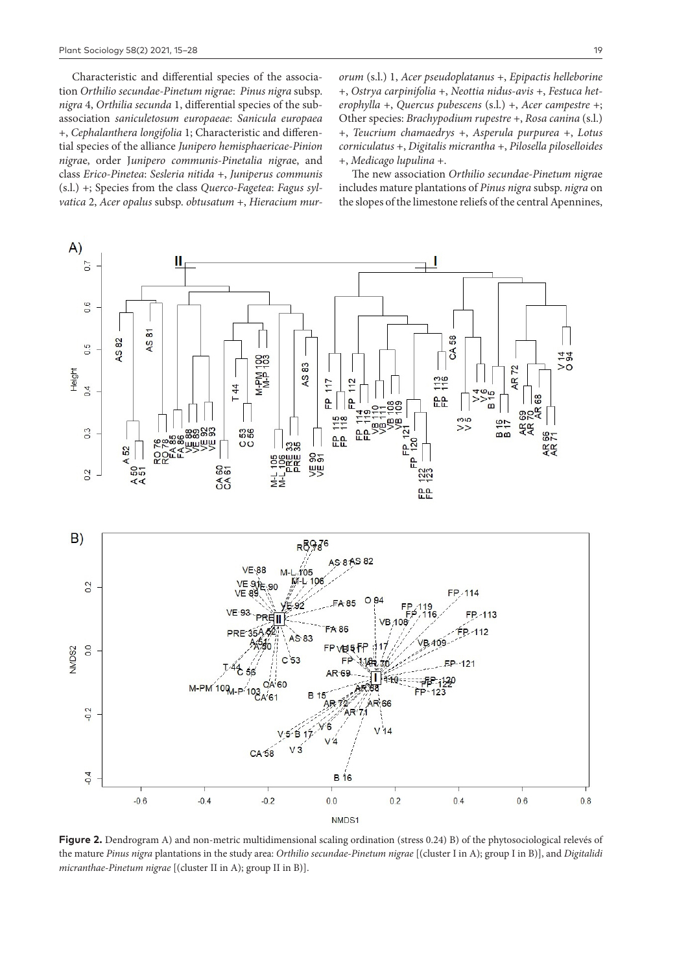Characteristic and differential species of the association *Orthilio secundae-Pinetum nigrae*: *Pinus nigra* subsp. *nigra* 4, *Orthilia secunda* 1, differential species of the subassociation *saniculetosum europaeae*: *Sanicula europaea* +, *Cephalanthera longifolia* 1; Characteristic and differential species of the alliance *Junipero hemisphaericae-Pinion nigra*e, order J*unipero communis-Pinetalia nigra*e, and class *Erico-Pinetea*: *Sesleria nitida* +, *Juniperus communis* (s.l.) +; Species from the class *Querco-Fagetea*: *Fagus sylvatica* 2, *Acer opalus* subsp. *obtusatum* +, *Hieracium mur-* *orum* (s.l.) 1, *Acer pseudoplatanus* +, *Epipactis helleborine* +, *Ostrya carpinifolia* +, *Neottia nidus-avis* +, *Festuca heterophylla* +, *Quercus pubescens* (s.l.) +, *Acer campestre* +; Other species: *Brachypodium rupestre* +, *Rosa canina* (s.l.) +, *Teucrium chamaedrys* +, *Asperula purpurea* +, *Lotus corniculatus* +, *Digitalis micrantha* +, *Pilosella piloselloides* +, *Medicago lupulina* +.

The new association *Orthilio secundae-Pinetum nigra*e includes mature plantations of *Pinus nigra* subsp. *nigra* on the slopes of the limestone reliefs of the central Apennines,



**Figure 2.** Dendrogram A) and non-metric multidimensional scaling ordination (stress 0.24) B) of the phytosociological relevés of the mature *Pinus nigra* plantations in the study area: *Orthilio secundae-Pinetum nigrae* [(cluster I in A); group I in B)], and *Digitalidi micranthae-Pinetum nigrae* [(cluster II in A); group II in B)].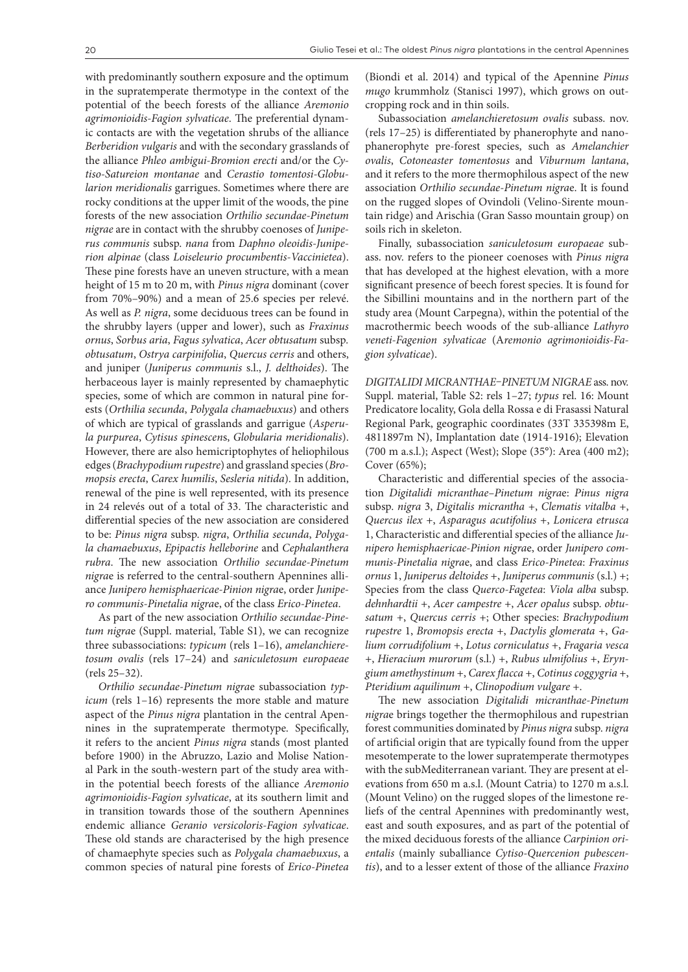with predominantly southern exposure and the optimum in the supratemperate thermotype in the context of the potential of the beech forests of the alliance *Aremonio agrimonioidis-Fagion sylvaticae*. The preferential dynamic contacts are with the vegetation shrubs of the alliance *Berberidion vulgaris* and with the secondary grasslands of the alliance *Phleo ambigui-Bromion erecti* and/or the *Cytiso-Satureion montanae* and *Cerastio tomentosi-Globularion meridionalis* garrigues. Sometimes where there are rocky conditions at the upper limit of the woods, the pine forests of the new association *Orthilio secundae-Pinetum nigrae* are in contact with the shrubby coenoses of *Juniperus communis* subsp. *nana* from *Daphno oleoidis-Juniperion alpinae* (class *Loiseleurio procumbentis-Vaccinietea*). These pine forests have an uneven structure, with a mean height of 15 m to 20 m, with *Pinus nigra* dominant (cover from 70%–90%) and a mean of 25.6 species per relevé. As well as *P. nigra*, some deciduous trees can be found in the shrubby layers (upper and lower), such as *Fraxinus ornus*, *Sorbus aria*, *Fagus sylvatica*, *Acer obtusatum* subsp*. obtusatum*, *Ostrya carpinifolia*, *Quercus cerris* and others, and juniper (*Juniperus communis* s.l., *J. delthoides*). The herbaceous layer is mainly represented by chamaephytic species, some of which are common in natural pine forests (*Orthilia secunda*, *Polygala chamaebuxus*) and others of which are typical of grasslands and garrigue (*Asperula purpurea*, *Cytisus spinescen*s, *Globularia meridionalis*). However, there are also hemicriptophytes of heliophilous edges (*Brachypodium rupestre*) and grassland species (*Bromopsis erecta*, *Carex humilis*, *Sesleria nitida*). In addition, renewal of the pine is well represented, with its presence in 24 relevés out of a total of 33. The characteristic and differential species of the new association are considered to be: *Pinus nigra* subsp. *nigra*, *Orthilia secunda*, *Polygala chamaebuxus*, *Epipactis helleborine* and *Cephalanthera rubra*. The new association *Orthilio secundae-Pinetum nigra*e is referred to the central-southern Apennines alliance *Junipero hemisphaericae-Pinion nigra*e, order *Junipero communis-Pinetalia nigra*e, of the class *Erico-Pinetea*.

As part of the new association *Orthilio secundae-Pinetum nigra*e (Suppl. material, Table S1), we can recognize three subassociations: *typicum* (rels 1–16), *amelanchieretosum ovalis* (rels 17–24) and *saniculetosum europaeae* (rels 25–32).

*Orthilio secundae-Pinetum nigra*e subassociation *typicum* (rels 1–16) represents the more stable and mature aspect of the *Pinus nigra* plantation in the central Apennines in the supratemperate thermotype. Specifically, it refers to the ancient *Pinus nigra* stands (most planted before 1900) in the Abruzzo, Lazio and Molise National Park in the south-western part of the study area within the potential beech forests of the alliance *Aremonio agrimonioidis-Fagion sylvaticae*, at its southern limit and in transition towards those of the southern Apennines endemic alliance *Geranio versicoloris-Fagion sylvaticae*. These old stands are characterised by the high presence of chamaephyte species such as *Polygala chamaebuxus*, a common species of natural pine forests of *Erico-Pinetea*

(Biondi et al. 2014) and typical of the Apennine *Pinus mugo* krummholz (Stanisci 1997), which grows on outcropping rock and in thin soils.

Subassociation *amelanchieretosum ovalis* subass. nov. (rels 17–25) is differentiated by phanerophyte and nanophanerophyte pre-forest species, such as *Amelanchier ovalis*, *Cotoneaster tomentosus* and *Viburnum lantana*, and it refers to the more thermophilous aspect of the new association *Orthilio secundae-Pinetum nigra*e. It is found on the rugged slopes of Ovindoli (Velino-Sirente mountain ridge) and Arischia (Gran Sasso mountain group) on soils rich in skeleton.

Finally, subassociation *saniculetosum europaeae* subass. nov. refers to the pioneer coenoses with *Pinus nigra* that has developed at the highest elevation, with a more significant presence of beech forest species. It is found for the Sibillini mountains and in the northern part of the study area (Mount Carpegna), within the potential of the macrothermic beech woods of the sub-alliance *Lathyro veneti-Fagenion sylvaticae* (A*remonio agrimonioidis-Fagion sylvaticae*).

*DIGITALIDI MICRANTHAE–PINETUM NIGRAE* ass. nov. Suppl. material, Table S2: rels 1–27; *typus* rel. 16: Mount Predicatore locality, Gola della Rossa e di Frasassi Natural Regional Park, geographic coordinates (33T 335398m E, 4811897m N), Implantation date (1914-1916); Elevation (700 m a.s.l.); Aspect (West); Slope (35°): Area (400 m2); Cover (65%);

Characteristic and differential species of the association *Digitalidi micranthae–Pinetum nigra*e: *Pinus nigra* subsp. *nigra* 3, *Digitalis micrantha* +, *Clematis vitalba* +, *Quercus ilex* +, *Asparagus acutifolius* +, *Lonicera etrusca* 1, Characteristic and differential species of the alliance *Junipero hemisphaericae-Pinion nigra*e, order *Junipero communis-Pinetalia nigra*e, and class *Erico-Pinetea*: *Fraxinus ornus* 1, *Juniperus deltoides* +, *Juniperus communis* (s.l.) +; Species from the class *Querco-Fagetea*: *Viola alba* subsp. *dehnhardtii* +, *Acer campestre* +, *Acer opalus* subsp. *obtusatum* +, *Quercus cerris* +; Other species: *Brachypodium rupestre* 1, *Bromopsis erecta* +, *Dactylis glomerata* +, *Galium corrudifolium* +, *Lotus corniculatus* +, *Fragaria vesca* +, *Hieracium murorum* (s.l.) +, *Rubus ulmifolius* +, *Eryngium amethystinum* +, *Carex flacca* +, *Cotinus coggygria* +, *Pteridium aquilinum* +, *Clinopodium vulgare* +.

The new association *Digitalidi micranthae-Pinetum nigra*e brings together the thermophilous and rupestrian forest communities dominated by *Pinus nigra* subsp. *nigra* of artificial origin that are typically found from the upper mesotemperate to the lower supratemperate thermotypes with the subMediterranean variant. They are present at elevations from 650 m a.s.l. (Mount Catria) to 1270 m a.s.l. (Mount Velino) on the rugged slopes of the limestone reliefs of the central Apennines with predominantly west, east and south exposures, and as part of the potential of the mixed deciduous forests of the alliance *Carpinion orientalis* (mainly suballiance *Cytiso-Quercenion pubescentis*), and to a lesser extent of those of the alliance *Fraxino*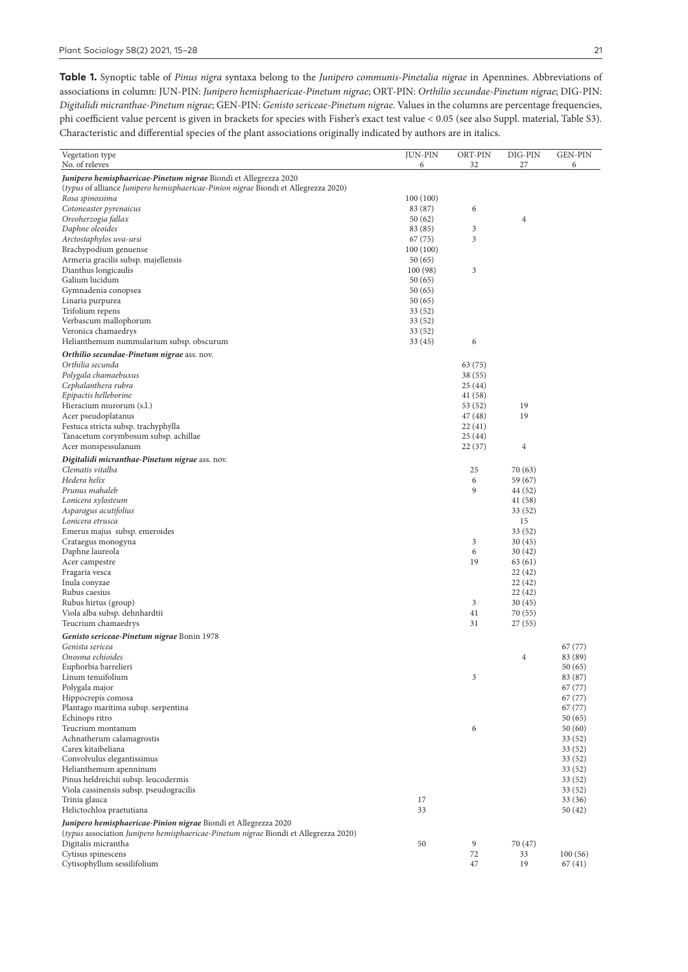**Table 1.** Synoptic table of *Pinus nigra* syntaxa belong to the *Junipero communis-Pinetalia nigrae* in Apennines. Abbreviations of associations in column: JUN-PIN: *Junipero hemisphaericae-Pinetum nigrae*; ORT-PIN: *Orthilio secundae-Pinetum nigrae*; DIG-PIN: *Digitalidi micranthae-Pinetum nigrae*; GEN-PIN: *Genisto sericeae-Pinetum nigrae*. Values in the columns are percentage frequencies, phi coefficient value percent is given in brackets for species with Fisher's exact test value < 0.05 (see also Suppl. material, Table S3). Characteristic and differential species of the plant associations originally indicated by authors are in italics.

| Vegetation type                                                                                                      | <b>JUN-PIN</b>    | ORT-PIN           | DIG-PIN           | <b>GEN-PIN</b>     |
|----------------------------------------------------------------------------------------------------------------------|-------------------|-------------------|-------------------|--------------------|
| No. of releves                                                                                                       | 6                 | 32                | 27                | 6                  |
| Junipero hemisphaericae-Pinetum nigrae Biondi et Allegrezza 2020                                                     |                   |                   |                   |                    |
| <i>(typus</i> of alliance <i>Junipero hemisphaericae-Pinion nigrae</i> Biondi et Allegrezza 2020)<br>Rosa spinossima | 100(100)          |                   |                   |                    |
| Cotoneaster pyrenaicus                                                                                               | 83 (87)           | 6                 |                   |                    |
| Oreoherzogia fallax                                                                                                  | 50(62)            |                   | 4                 |                    |
| Daphne oleoides                                                                                                      | 83 (85)           | 3                 |                   |                    |
| Arctostaphylos uva-ursi                                                                                              | 67 (75)           | 3                 |                   |                    |
| Brachypodium genuense<br>Armeria gracilis subsp. majellensis                                                         | 100(100)          |                   |                   |                    |
| Dianthus longicaulis                                                                                                 | 50(65)<br>100(98) | 3                 |                   |                    |
| Galium lucidum                                                                                                       | 50(65)            |                   |                   |                    |
| Gymnadenia conopsea                                                                                                  | 50(65)            |                   |                   |                    |
| Linaria purpurea                                                                                                     | 50(65)            |                   |                   |                    |
| Trifolium repens                                                                                                     | 33(52)            |                   |                   |                    |
| Verbascum mallophorum                                                                                                | 33(52)            |                   |                   |                    |
| Veronica chamaedrys<br>Helianthemum nummularium subsp. obscurum                                                      | 33(52)<br>33(45)  | 6                 |                   |                    |
| Orthilio secundae-Pinetum nigrae ass. nov.                                                                           |                   |                   |                   |                    |
| Orthilia secunda                                                                                                     |                   | 63 (75)           |                   |                    |
| Polygala chamaebuxus                                                                                                 |                   | 38(55)            |                   |                    |
| Cephalanthera rubra                                                                                                  |                   | 25(44)            |                   |                    |
| Epipactis helleborine                                                                                                |                   | 41 (58)           |                   |                    |
| Hieracium murorum (s.l.)                                                                                             |                   | 53 (52)           | 19                |                    |
| Acer pseudoplatanus<br>Festuca stricta subsp. trachyphylla                                                           |                   | 47 (48)<br>22(41) | 19                |                    |
| Tanacetum corymbosum subsp. achillae                                                                                 |                   | 25(44)            |                   |                    |
| Acer monspessulanum                                                                                                  |                   | 22(37)            | 4                 |                    |
| Digitalidi micranthae-Pinetum nigrae ass. nov.                                                                       |                   |                   |                   |                    |
| Clematis vitalba                                                                                                     |                   | 25                | 70 (63)           |                    |
| Hedera helix                                                                                                         |                   | 6                 | 59 (67)           |                    |
| Prunus mahaleb                                                                                                       |                   | 9                 | 44 (52)           |                    |
| Lonicera xylosteum                                                                                                   |                   |                   | 41 (58)           |                    |
| Asparagus acutifolius<br>Lonicera etrusca                                                                            |                   |                   | 33 (52)<br>15     |                    |
| Emerus majus subsp. emeroides                                                                                        |                   |                   | 33 (52)           |                    |
| Crataegus monogyna                                                                                                   |                   | 3                 | 30(45)            |                    |
| Daphne laureola                                                                                                      |                   | 6                 | 30(42)            |                    |
| Acer campestre                                                                                                       |                   | 19                | 63 (61)           |                    |
| Fragaria vesca                                                                                                       |                   |                   | 22(42)            |                    |
| Inula conyzae<br>Rubus caesius                                                                                       |                   |                   | 22(42)<br>22 (42) |                    |
| Rubus hirtus (group)                                                                                                 |                   | 3                 | 30(45)            |                    |
| Viola alba subsp. dehnhardtii                                                                                        |                   | 41                | 70 (55)           |                    |
| Teucrium chamaedrys                                                                                                  |                   | 31                | 27 (55)           |                    |
| Genisto sericeae-Pinetum nigrae Bonin 1978                                                                           |                   |                   |                   |                    |
| Genista sericea                                                                                                      |                   |                   |                   | 67 (77)            |
| Onosma echioides                                                                                                     |                   |                   | 4                 | 83 (89)<br>50(65)  |
| Euphorbia barrelieri<br>Linum tenuifolium                                                                            |                   | 3                 |                   | 83 (87)            |
| Polygala major                                                                                                       |                   |                   |                   | 67 (77)            |
| Hippocrepis comosa                                                                                                   |                   |                   |                   | 67 (77)            |
| Plantago maritima subsp. serpentina                                                                                  |                   |                   |                   | 67 (77)            |
| Echinops ritro                                                                                                       |                   |                   |                   | 50 (65)            |
| Teucrium montanum<br>Achnatherum calamagrostis                                                                       |                   | 6                 |                   | 50 (60)<br>33 (52) |
| Carex kitaibeliana                                                                                                   |                   |                   |                   | 33 (52)            |
| Convolvulus elegantissimus                                                                                           |                   |                   |                   | 33 (52)            |
| Helianthemum apenninum                                                                                               |                   |                   |                   | 33 (52)            |
| Pinus heldreichii subsp. leucodermis                                                                                 |                   |                   |                   | 33 (52)            |
| Viola cassinensis subsp. pseudogracilis<br>Trinia glauca                                                             | 17                |                   |                   | 33 (52)            |
| Helictochloa praetutiana                                                                                             | 33                |                   |                   | 33 (36)<br>50 (42) |
| Junipero hemisphaericae-Pinion nigrae Biondi et Allegrezza 2020                                                      |                   |                   |                   |                    |
| <i>(typus association Junipero hemisphaericae-Pinetum nigrae Biondi et Allegrezza 2020)</i>                          |                   |                   |                   |                    |
| Digitalis micrantha                                                                                                  | 50                | 9                 | 70 (47)           |                    |
| Cytisus spinescens                                                                                                   |                   | 72                | 33                | 100(56)            |
| Cytisophyllum sessilifolium                                                                                          |                   | 47                | 19                | 67(41)             |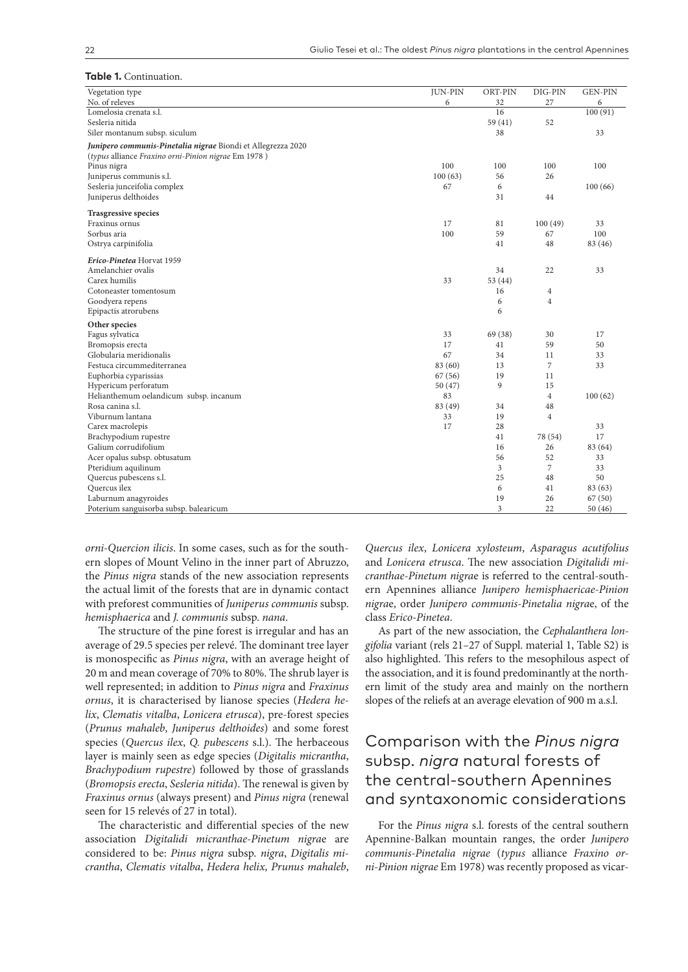#### **Table 1.** Continuation.

| Vegetation type                                              | <b>JUN-PIN</b> | ORT-PIN | DIG-PIN        | <b>GEN-PIN</b> |
|--------------------------------------------------------------|----------------|---------|----------------|----------------|
| No. of releves                                               | 6              | 32      | 27             | 6              |
| Lomelosia crenata s.l.                                       |                | 16      |                | 100(91)        |
| Sesleria nitida                                              |                | 59 (41) | 52             |                |
| Siler montanum subsp. siculum                                |                | 38      |                | 33             |
| Junipero communis-Pinetalia nigrae Biondi et Allegrezza 2020 |                |         |                |                |
| (typus alliance Fraxino orni-Pinion nigrae Em 1978)          |                |         |                |                |
| Pinus nigra                                                  | 100            | 100     | 100            | 100            |
| Juniperus communis s.l.                                      | 100(63)        | 56      | 26             |                |
| Sesleria junceifolia complex                                 | 67             | 6       |                | 100(66)        |
| Juniperus delthoides                                         |                | 31      | 44             |                |
| <b>Trasgressive species</b>                                  |                |         |                |                |
| Fraxinus ornus                                               | 17             | 81      | 100(49)        | 33             |
| Sorbus aria                                                  | 100            | 59      | 67             | 100            |
| Ostrya carpinifolia                                          |                | 41      | 48             | 83 (46)        |
| Erico-Pinetea Horvat 1959                                    |                |         |                |                |
| Amelanchier ovalis                                           |                | 34      | 22             | 33             |
| Carex humilis                                                | 33             | 53 (44) |                |                |
| Cotoneaster tomentosum                                       |                | 16      | $\overline{4}$ |                |
| Goodyera repens                                              |                | 6       | 4              |                |
| Epipactis atrorubens                                         |                | 6       |                |                |
| Other species                                                |                |         |                |                |
| Fagus sylvatica                                              | 33             | 69 (38) | 30             | 17             |
| Bromopsis erecta                                             | 17             | 41      | 59             | 50             |
| Globularia meridionalis                                      | 67             | 34      | 11             | 33             |
| Festuca circummediterranea                                   | 83 (60)        | 13      | $\overline{7}$ | 33             |
| Euphorbia cyparissias                                        | 67(56)         | 19      | 11             |                |
| Hypericum perforatum                                         | 50(47)         | 9       | 15             |                |
| Helianthemum oelandicum subsp. incanum                       | 83             |         | $\overline{4}$ | 100(62)        |
| Rosa canina s.l.                                             | 83 (49)        | 34      | 48             |                |
| Viburnum lantana                                             | 33             | 19      | $\overline{4}$ |                |
| Carex macrolepis                                             | 17             | 28      |                | 33             |
| Brachypodium rupestre                                        |                | 41      | 78 (54)        | 17             |
| Galium corrudifolium                                         |                | 16      | 26             | 83 (64)        |
| Acer opalus subsp. obtusatum                                 |                | 56      | 52             | 33             |
| Pteridium aquilinum                                          |                | 3       | 7              | 33             |
| Quercus pubescens s.l.                                       |                | 25      | 48             | 50             |
| Quercus ilex                                                 |                | 6       | 41             | 83 (63)        |
| Laburnum anagyroides                                         |                | 19      | 26             | 67(50)         |
| Poterium sanguisorba subsp. balearicum                       |                | 3       | 22             | 50(46)         |

*orni-Quercion ilicis*. In some cases, such as for the southern slopes of Mount Velino in the inner part of Abruzzo, the *Pinus nigra* stands of the new association represents the actual limit of the forests that are in dynamic contact with preforest communities of *Juniperus communis* subsp. *hemisphaerica* and *J. communis* subsp. *nana*.

The structure of the pine forest is irregular and has an average of 29.5 species per relevé. The dominant tree layer is monospecific as *Pinus nigra*, with an average height of 20 m and mean coverage of 70% to 80%. The shrub layer is well represented; in addition to *Pinus nigra* and *Fraxinus ornus*, it is characterised by lianose species (*Hedera helix*, *Clematis vitalba*, *Lonicera etrusca*), pre-forest species (*Prunus mahaleb*, *Juniperus delthoides*) and some forest species (*Quercus ilex*, *Q. pubescens* s.l.). The herbaceous layer is mainly seen as edge species (*Digitalis micrantha*, *Brachypodium rupestre*) followed by those of grasslands (*Bromopsis erecta*, *Sesleria nitida*). The renewal is given by *Fraxinus ornus* (always present) and *Pinus nigra* (renewal seen for 15 relevés of 27 in total).

The characteristic and differential species of the new association *Digitalidi micranthae-Pinetum nigra*e are considered to be: *Pinus nigra* subsp. *nigra*, *Digitalis micrantha*, *Clematis vitalba*, *Hedera helix*, *Prunus mahaleb*,

*Quercus ilex*, *Lonicera xylosteum*, *Asparagus acutifolius* and *Lonicera etrusca*. The new association *Digitalidi micranthae-Pinetum nigra*e is referred to the central-southern Apennines alliance *Junipero hemisphaericae-Pinion nigra*e, order *Junipero communis-Pinetalia nigra*e, of the class *Erico-Pinetea*.

As part of the new association, the *Cephalanthera longifolia* variant (rels 21–27 of Suppl. material 1, Table S2) is also highlighted. This refers to the mesophilous aspect of the association, and it is found predominantly at the northern limit of the study area and mainly on the northern slopes of the reliefs at an average elevation of 900 m a.s.l.

# Comparison with the *Pinus nigra* subsp. *nigra* natural forests of the central-southern Apennines and syntaxonomic considerations

For the *Pinus nigra* s.l. forests of the central southern Apennine-Balkan mountain ranges, the order *Junipero communis-Pinetalia nigrae* (*typus* alliance *Fraxino orni-Pinion nigrae* Em 1978) was recently proposed as vicar-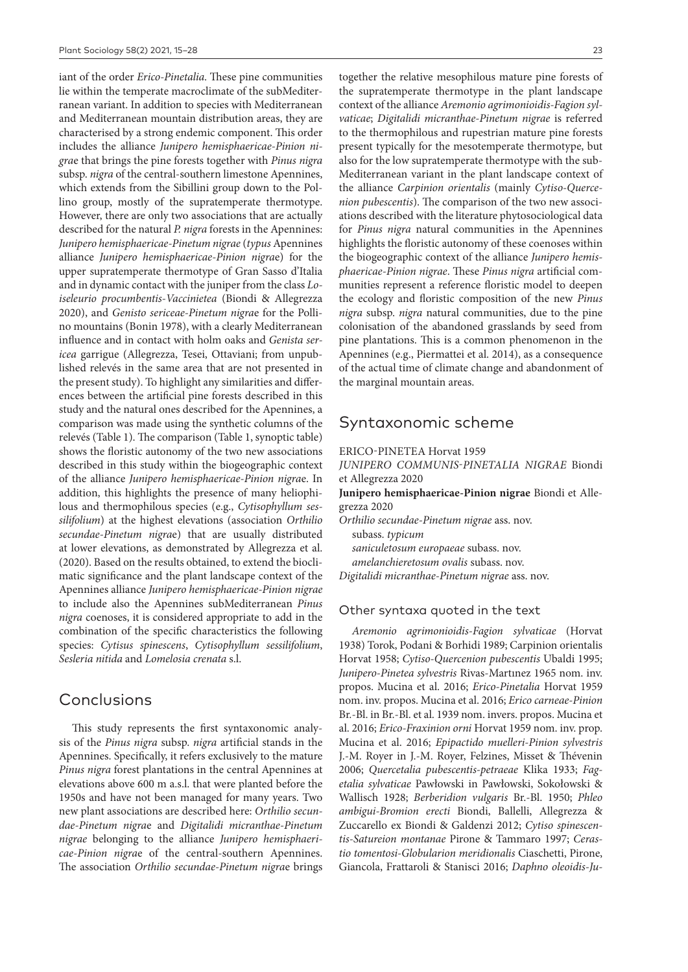iant of the order *Erico-Pinetalia*. These pine communities lie within the temperate macroclimate of the subMediterranean variant. In addition to species with Mediterranean and Mediterranean mountain distribution areas, they are characterised by a strong endemic component. This order includes the alliance *Junipero hemisphaericae-Pinion nigra*e that brings the pine forests together with *Pinus nigra* subsp. *nigra* of the central-southern limestone Apennines, which extends from the Sibillini group down to the Pollino group, mostly of the supratemperate thermotype. However, there are only two associations that are actually described for the natural *P. nigra* forests in the Apennines: *Junipero hemisphaericae-Pinetum nigrae* (*typus* Apennines alliance *Junipero hemisphaericae-Pinion nigra*e) for the upper supratemperate thermotype of Gran Sasso d'Italia and in dynamic contact with the juniper from the class *Loiseleurio procumbentis-Vaccinietea* (Biondi & Allegrezza 2020), and *Genisto sericeae-Pinetum nigra*e for the Pollino mountains (Bonin 1978), with a clearly Mediterranean influence and in contact with holm oaks and *Genista sericea* garrigue (Allegrezza, Tesei, Ottaviani; from unpublished relevés in the same area that are not presented in the present study). To highlight any similarities and differences between the artificial pine forests described in this study and the natural ones described for the Apennines, a comparison was made using the synthetic columns of the relevés (Table 1). The comparison (Table 1, synoptic table) shows the floristic autonomy of the two new associations described in this study within the biogeographic context of the alliance *Junipero hemisphaericae-Pinion nigra*e. In addition, this highlights the presence of many heliophilous and thermophilous species (e.g., *Cytisophyllum sessilifolium*) at the highest elevations (association *Orthilio secundae-Pinetum nigra*e) that are usually distributed at lower elevations, as demonstrated by Allegrezza et al. (2020). Based on the results obtained, to extend the bioclimatic significance and the plant landscape context of the Apennines alliance *Junipero hemisphaericae-Pinion nigrae* to include also the Apennines subMediterranean *Pinus nigra* coenoses, it is considered appropriate to add in the combination of the specific characteristics the following species: *Cytisus spinescens*, *Cytisophyllum sessilifolium*, *Sesleria nitida* and *Lomelosia crenata* s.l.

# Conclusions

This study represents the first syntaxonomic analysis of the *Pinus nigra* subsp. *nigra* artificial stands in the Apennines. Specifically, it refers exclusively to the mature *Pinus nigra* forest plantations in the central Apennines at elevations above 600 m a.s.l. that were planted before the 1950s and have not been managed for many years. Two new plant associations are described here: *Orthilio secundae-Pinetum nigra*e and *Digitalidi micranthae-Pinetum nigrae* belonging to the alliance *Junipero hemisphaericae-Pinion nigra*e of the central-southern Apennines. The association *Orthilio secundae-Pinetum nigra*e brings together the relative mesophilous mature pine forests of the supratemperate thermotype in the plant landscape context of the alliance *Aremonio agrimonioidis-Fagion sylvaticae*; *Digitalidi micranthae-Pinetum nigrae* is referred to the thermophilous and rupestrian mature pine forests present typically for the mesotemperate thermotype, but also for the low supratemperate thermotype with the sub-Mediterranean variant in the plant landscape context of the alliance *Carpinion orientalis* (mainly *Cytiso-Quercenion pubescentis*). The comparison of the two new associations described with the literature phytosociological data for *Pinus nigra* natural communities in the Apennines highlights the floristic autonomy of these coenoses within the biogeographic context of the alliance *Junipero hemisphaericae-Pinion nigrae*. These *Pinus nigra* artificial communities represent a reference floristic model to deepen the ecology and floristic composition of the new *Pinus nigra* subsp. *nigra* natural communities, due to the pine colonisation of the abandoned grasslands by seed from pine plantations. This is a common phenomenon in the Apennines (e.g., Piermattei et al. 2014), as a consequence of the actual time of climate change and abandonment of the marginal mountain areas.

# Syntaxonomic scheme

ERICO-PINETEA Horvat 1959

*JUNIPERO COMMUNIS-PINETALIA NIGRAE* Biondi et Allegrezza 2020

**Junipero hemisphaericae-Pinion nigrae** Biondi et Allegrezza 2020

*Orthilio secundae-Pinetum nigrae* ass. nov. subass. *typicum*

*saniculetosum europaeae* subass. nov.

*amelanchieretosum ovalis* subass. nov.

*Digitalidi micranthae-Pinetum nigrae* ass. nov.

### Other syntaxa quoted in the text

*Aremonio agrimonioidis-Fagion sylvaticae* (Horvat 1938) Torok, Podani & Borhidi 1989; Carpinion orientalis Horvat 1958; *Cytiso-Quercenion pubescentis* Ubaldi 1995; *Junipero-Pinetea sylvestris* Rivas-Martınez 1965 nom. inv. propos. Mucina et al. 2016; *Erico-Pinetalia* Horvat 1959 nom. inv. propos. Mucina et al. 2016; *Erico carneae-Pinion* Br.-Bl. in Br.-Bl. et al. 1939 nom. invers. propos. Mucina et al. 2016; *Erico-Fraxinion orni* Horvat 1959 nom. inv. prop. Mucina et al. 2016; *Epipactido muelleri-Pinion sylvestris*  J.-M. Royer in J.-M. Royer, Felzines, Misset & Thévenin 2006; *Quercetalia pubescentis-petraeae* Klika 1933; *Fagetalia sylvaticae* Pawłowski in Pawłowski, Sokołowski & Wallisch 1928; *Berberidion vulgaris* Br.-Bl. 1950; *Phleo ambigui-Bromion erecti* Biondi, Ballelli, Allegrezza & Zuccarello ex Biondi & Galdenzi 2012; *Cytiso spinescentis-Satureion montanae* Pirone & Tammaro 1997; *Cerastio tomentosi-Globularion meridionalis* Ciaschetti, Pirone, Giancola, Frattaroli & Stanisci 2016; *Daphno oleoidis-Ju-*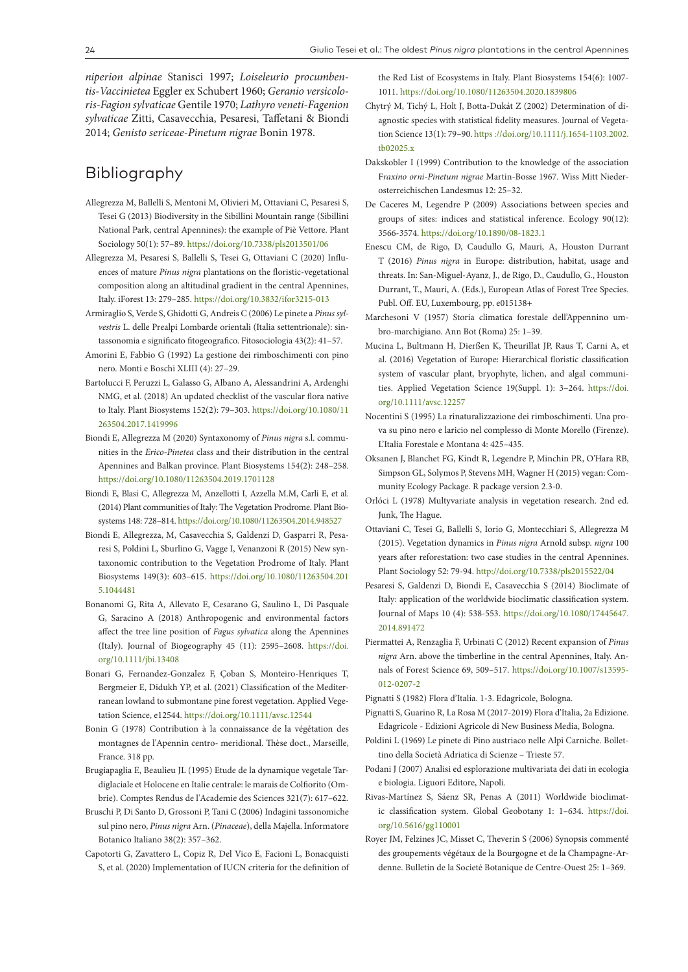*niperion alpinae* Stanisci 1997; *Loiseleurio procumbentis-Vaccinietea* Eggler ex Schubert 1960; *Geranio versicoloris-Fagion sylvaticae* Gentile 1970; *Lathyro veneti-Fagenion sylvaticae* Zitti, Casavecchia, Pesaresi, Taffetani & Biondi 2014; *Genisto sericeae-Pinetum nigrae* Bonin 1978.

# Bibliography

- Allegrezza M, Ballelli S, Mentoni M, Olivieri M, Ottaviani C, Pesaresi S, Tesei G (2013) Biodiversity in the Sibillini Mountain range (Sibillini National Park, central Apennines): the example of Piè Vettore. Plant Sociology 50(1): 57–89.<https://doi.org/10.7338/pls2013501/06>
- Allegrezza M, Pesaresi S, Ballelli S, Tesei G, Ottaviani C (2020) Influences of mature *Pinus nigra* plantations on the floristic-vegetational composition along an altitudinal gradient in the central Apennines, Italy. iForest 13: 279–285. <https://doi.org/10.3832/ifor3215-013>
- Armiraglio S, Verde S, Ghidotti G, Andreis C (2006) Le pinete a *Pinus sylvestris* L. delle Prealpi Lombarde orientali (Italia settentrionale): sintassonomia e significato fitogeografico. Fitosociologia 43(2): 41–57.
- Amorini E, Fabbio G (1992) La gestione dei rimboschimenti con pino nero. Monti e Boschi XLIII (4): 27–29.
- Bartolucci F, Peruzzi L, Galasso G, Albano A, Alessandrini A, Ardenghi NMG, et al. (2018) An updated checklist of the vascular flora native to Italy. Plant Biosystems 152(2): 79–303. [https://doi.org/10.1080/11](https://doi.org/10.1080/11263504.2017.1419996) [263504.2017.1419996](https://doi.org/10.1080/11263504.2017.1419996)
- Biondi E, Allegrezza M (2020) Syntaxonomy of *Pinus nigra* s.l. communities in the *Erico-Pinetea* class and their distribution in the central Apennines and Balkan province. Plant Biosystems 154(2): 248–258. <https://doi.org/10.1080/11263504.2019.1701128>
- Biondi E, Blasi C, Allegrezza M, Anzellotti I, Azzella M.M, Carli E, et al. (2014) Plant communities of Italy: The Vegetation Prodrome. Plant Biosystems 148: 728–814.<https://doi.org/10.1080/11263504.2014.948527>
- Biondi E, Allegrezza, M, Casavecchia S, Galdenzi D, Gasparri R, Pesaresi S, Poldini L, Sburlino G, Vagge I, Venanzoni R (2015) New syntaxonomic contribution to the Vegetation Prodrome of Italy. Plant Biosystems 149(3): 603–615. [https://doi.org/10.1080/11263504.201](https://doi.org/10.1080/11263504.2015.1044481) [5.1044481](https://doi.org/10.1080/11263504.2015.1044481)
- Bonanomi G, Rita A, Allevato E, Cesarano G, Saulino L, Di Pasquale G, Saracino A (2018) Anthropogenic and environmental factors affect the tree line position of *Fagus sylvatica* along the Apennines (Italy). Journal of Biogeography 45 (11): 2595–2608. [https://doi.](https://doi.org/10.1111/jbi.13408) [org/10.1111/jbi.13408](https://doi.org/10.1111/jbi.13408)
- Bonari G, Fernandez-Gonzalez F, Çoban S, Monteiro-Henriques T, Bergmeier E, Didukh YP, et al. (2021) Classification of the Mediterranean lowland to submontane pine forest vegetation. Applied Vegetation Science, e12544.<https://doi.org/10.1111/avsc.12544>
- Bonin G (1978) Contribution à la connaissance de la végétation des montagnes de l'Apennin centro- meridional. Thèse doct., Marseille, France. 318 pp.
- Brugiapaglia E, Beaulieu JL (1995) Etude de la dynamique vegetale Tardiglaciale et Holocene en Italie centrale: le marais de Colfiorito (Ombrie). Comptes Rendus de l'Academie des Sciences 321(7): 617–622.
- Bruschi P, Di Santo D, Grossoni P, Tani C (2006) Indagini tassonomiche sul pino nero, *Pinus nigra* Arn. (*Pinaceae*), della Majella. Informatore Botanico Italiano 38(2): 357–362.
- Capotorti G, Zavattero L, Copiz R, Del Vico E, Facioni L, Bonacquisti S, et al. (2020) Implementation of IUCN criteria for the definition of

the Red List of Ecosystems in Italy. Plant Biosystems 154(6): 1007- 1011.<https://doi.org/10.1080/11263504.2020.1839806>

- Chytrý M, Tichý L, Holt J, Botta‐Dukát Z (2002) Determination of diagnostic species with statistical fidelity measures. Journal of Vegetation Science 13(1): 79–90. https ://doi.org/10.1111/j.1654-1103.2002. tb02025.x
- Dakskobler I (1999) Contribution to the knowledge of the association F*raxino orni-Pinetum nigrae* Martin-Bosse 1967. Wiss Mitt Niederosterreichischen Landesmus 12: 25–32.
- De Caceres M, Legendre P (2009) Associations between species and groups of sites: indices and statistical inference. Ecology 90(12): 3566-3574. <https://doi.org/10.1890/08-1823.1>
- Enescu CM, de Rigo, D, Caudullo G, Mauri, A, Houston Durrant T (2016) *Pinus nigra* in Europe: distribution, habitat, usage and threats. In: San-Miguel-Ayanz, J., de Rigo, D., Caudullo, G., Houston Durrant, T., Mauri, A. (Eds.), European Atlas of Forest Tree Species. Publ. Off. EU, Luxembourg, pp. e015138+
- Marchesoni V (1957) Storia climatica forestale dell'Appennino umbro-marchigiano. Ann Bot (Roma) 25: 1–39.
- Mucina L, Bultmann H, Dierßen K, Theurillat JP, Raus T, Carni A, et al. (2016) Vegetation of Europe: Hierarchical floristic classification system of vascular plant, bryophyte, lichen, and algal communities. Applied Vegetation Science 19(Suppl. 1): 3–264. [https://doi.](https://doi.org/10.1111/avsc.12257) [org/10.1111/avsc.12257](https://doi.org/10.1111/avsc.12257)
- Nocentini S (1995) La rinaturalizzazione dei rimboschimenti. Una prova su pino nero e laricio nel complesso di Monte Morello (Firenze). L'Italia Forestale e Montana 4: 425–435.
- Oksanen J, Blanchet FG, Kindt R, Legendre P, Minchin PR, O'Hara RB, Simpson GL, Solymos P, Stevens MH, Wagner H (2015) vegan: Community Ecology Package. R package version 2.3-0.
- Orlóci L (1978) Multyvariate analysis in vegetation research. 2nd ed. Junk, The Hague.
- Ottaviani C, Tesei G, Ballelli S, Iorio G, Montecchiari S, Allegrezza M (2015). Vegetation dynamics in *Pinus nigra* Arnold subsp. *nigra* 100 years after reforestation: two case studies in the central Apennines. Plant Sociology 52: 79-94.<http://doi.org/10.7338/pls2015522/04>
- Pesaresi S, Galdenzi D, Biondi E, Casavecchia S (2014) Bioclimate of Italy: application of the worldwide bioclimatic classification system. Journal of Maps 10 (4): 538-553. [https://doi.org/10.1080/17445647.](https://doi.org/10.1080/17445647.2014.891472) [2014.891472](https://doi.org/10.1080/17445647.2014.891472)
- Piermattei A, Renzaglia F, Urbinati C (2012) Recent expansion of *Pinus nigra* Arn. above the timberline in the central Apennines, Italy. Annals of Forest Science 69, 509–517. [https://doi.org/10.1007/s13595-](https://doi.org/10.1007/s13595-012-0207-2) [012-0207-2](https://doi.org/10.1007/s13595-012-0207-2)
- Pignatti S (1982) Flora d'Italia. 1-3. Edagricole, Bologna.
- Pignatti S, Guarino R, La Rosa M (2017-2019) Flora d'Italia, 2a Edizione. Edagricole - Edizioni Agricole di New Business Media, Bologna.
- Poldini L (1969) Le pinete di Pino austriaco nelle Alpi Carniche. Bollettino della Società Adriatica di Scienze – Trieste 57.
- Podani J (2007) Analisi ed esplorazione multivariata dei dati in ecologia e biologia. Liguori Editore, Napoli.
- Rivas-Martínez S, Sáenz SR, Penas A (2011) Worldwide bioclimatic classification system. Global Geobotany 1: 1–634. [https://doi.](https://doi.org/10.5616/gg110001) [org/10.5616/gg110001](https://doi.org/10.5616/gg110001)
- Royer JM, Felzines JC, Misset C, Theverin S (2006) Synopsis commenté des groupements végétaux de la Bourgogne et de la Champagne-Ardenne. Bulletin de la Societé Botanique de Centre-Ouest 25: 1–369.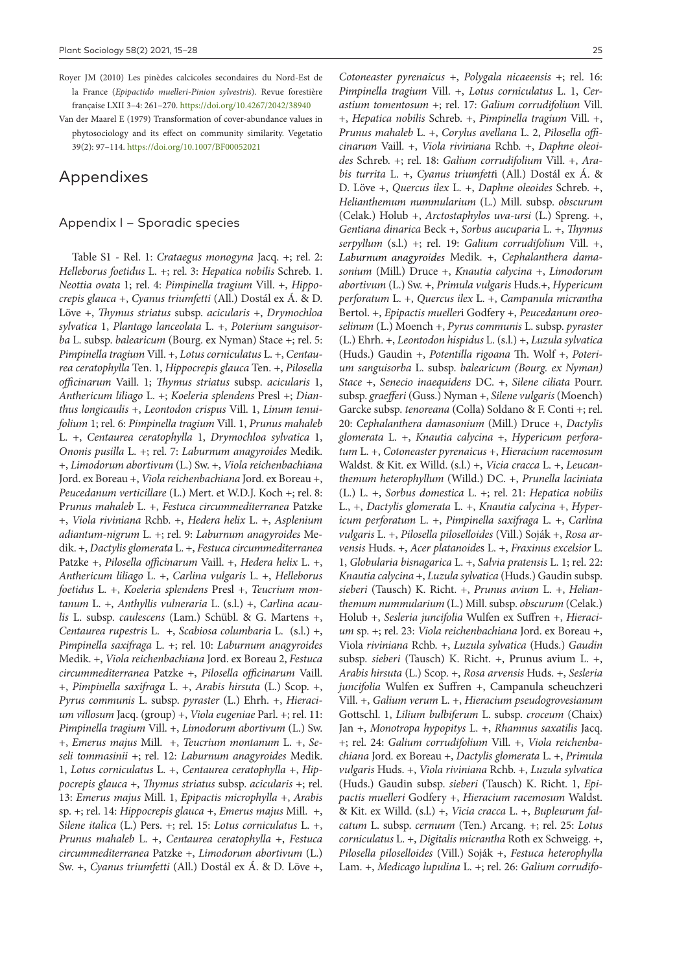- Royer JM (2010) Les pinèdes calcicoles secondaires du Nord-Est de la France (*Epipactido muelleri-Pinion sylvestris*). Revue forestière française LXII 3–4: 261–270. <https://doi.org/10.4267/2042/38940>
- Van der Maarel E (1979) Transformation of cover-abundance values in phytosociology and its effect on community similarity. Vegetatio 39(2): 97–114.<https://doi.org/10.1007/BF00052021>

# Appendixes

### Appendix I – Sporadic species

Table S1 - Rel. 1: *Crataegus monogyna* Jacq. +; rel. 2: *Helleborus foetidus* L. +; rel. 3: *Hepatica nobilis* Schreb. 1. *Neottia ovata* 1; rel. 4: *Pimpinella tragium* Vill. +, *Hippocrepis glauca* +, *Cyanus triumfetti* (All.) Dostál ex Á. & D. Löve +, *Thymus striatus* subsp. *acicularis* +, *Drymochloa sylvatica* 1, *Plantago lanceolata* L. +, *Poterium sanguisorba* L. subsp. *balearicum* (Bourg. ex Nyman) Stace +; rel. 5: *Pimpinella tragium* Vill. +, *Lotus corniculatus* L. +, *Centaurea ceratophylla* Ten. 1, *Hippocrepis glauca* Ten. +, *Pilosella officinarum* Vaill. 1; *Thymus striatus* subsp. *acicularis* 1, *Anthericum liliago* L. +; *Koeleria splendens* Presl +; *Dianthus longicaulis* +, *Leontodon crispus* Vill. 1, *Linum tenuifolium* 1; rel. 6: *Pimpinella tragium* Vill. 1, *Prunus mahaleb* L. +, *Centaurea ceratophylla* 1, *Drymochloa sylvatica* 1, *Ononis pusilla* L. +; rel. 7: *Laburnum anagyroides* Medik. +, *Limodorum abortivum* (L.) Sw. +, *Viola reichenbachiana* Jord. ex Boreau +, *Viola reichenbachiana* Jord. ex Boreau +, *Peucedanum verticillare* (L.) Mert. et W.D.J. Koch +; rel. 8: P*runus mahaleb* L. +, *Festuca circummediterranea* Patzke +, *Viola riviniana* Rchb. +, *Hedera helix* L. +, *Asplenium adiantum-nigrum* L. +; rel. 9: *Laburnum anagyroides* Medik. +, *Dactylis glomerata* L. +, *Festuca circummediterranea* Patzke +, *Pilosella officinarum* Vaill. +, *Hedera helix* L. +, *Anthericum liliago* L. +, *Carlina vulgaris* L. +, *Helleborus foetidus* L. +, *Koeleria splendens* Presl +, *Teucrium montanum* L. +, *Anthyllis vulneraria* L. (s.l.) +, *Carlina acaulis* L. subsp. *caulescens* (Lam.) Schübl. & G. Martens +, *Centaurea rupestris* L. +, *Scabiosa columbaria* L. (s.l.) +, *Pimpinella saxifraga* L. +; rel. 10: *Laburnum anagyroides* Medik. +, *Viola reichenbachiana* Jord. ex Boreau 2, *Festuca circummediterranea* Patzke +, *Pilosella officinarum* Vaill. +, *Pimpinella saxifraga* L. +, *Arabis hirsuta* (L.) Scop. +, *Pyrus communis* L. subsp. *pyraster* (L.) Ehrh. +, *Hieracium villosum* Jacq. (group) +, *Viola eugeniae* Parl. +; rel. 11: *Pimpinella tragium* Vill. +, *Limodorum abortivum* (L.) Sw. +, *Emerus majus* Mill. +, *Teucrium montanum* L. +, *Seseli tommasinii* +; rel. 12: *Laburnum anagyroides* Medik. 1, *Lotus corniculatus* L. +, *Centaurea ceratophylla* +, *Hippocrepis glauca* +, *Thymus striatus* subsp. *acicularis* +; rel. 13: *Emerus majus* Mill. 1, *Epipactis microphylla* +, *Arabis* sp. +; rel. 14: *Hippocrepis glauca* +, *Emerus majus* Mill. +, *Silene italica* (L.) Pers. +; rel. 15: *Lotus corniculatus* L. +, *Prunus mahaleb* L. +, *Centaurea ceratophylla* +, *Festuca circummediterranea* Patzke +, *Limodorum abortivum* (L.) Sw. +, *Cyanus triumfetti* (All.) Dostál ex Á. & D. Löve +,

*Cotoneaster pyrenaicus* +, *Polygala nicaeensis* +; rel. 16: *Pimpinella tragium* Vill. +, *Lotus corniculatus* L. 1, *Cerastium tomentosum* +; rel. 17: *Galium corrudifolium* Vill. +, *Hepatica nobilis* Schreb. +, *Pimpinella tragium* Vill. +, *Prunus mahaleb* L. +, *Corylus avellana* L. 2, *Pilosella officinarum* Vaill. +, *Viola riviniana* Rchb. +, *Daphne oleoides* Schreb. +; rel. 18: *Galium corrudifolium* Vill. +, *Arabis turrita* L. +, *Cyanus triumfett*i (All.) Dostál ex Á. & D. Löve +, *Quercus ilex* L. +, *Daphne oleoides* Schreb. +, *Helianthemum nummularium* (L.) Mill. subsp. *obscurum* (Celak.) Holub +, *Arctostaphylos uva-ursi* (L.) Spreng. +, *Gentiana dinarica* Beck +, *Sorbus aucuparia* L. +, *Thymus serpyllum* (s.l.) +; rel. 19: *Galium corrudifolium* Vill. +, Laburnum anagyroides Medik. +, Cephalanthera dama*sonium* (Mill.) Druce +, *Knautia calycina* +, *Limodorum abortivum* (L.) Sw. +, *Primula vulgaris* Huds.+, *Hypericum perforatum* L. +, *Quercus ilex* L. +, *Campanula micrantha*  Bertol. +, *Epipactis mueller*i Godfery +, *Peucedanum oreoselinum* (L.) Moench +, *Pyrus communis* L. subsp. *pyraster*  (L.) Ehrh. +, *Leontodon hispidus* L. (s.l.) +, *Luzula sylvatica*  (Huds.) Gaudin +, *Potentilla rigoana* Th. Wolf +, *Poterium sanguisorba* L. subsp. *balearicum (Bourg. ex Nyman) Stace* +, *Senecio inaequidens* DC. +, *Silene ciliata* Pourr. subsp. *graefferi* (Guss.) Nyman +, *Silene vulgaris* (Moench) Garcke subsp. *tenoreana* (Colla) Soldano & F. Conti +; rel. 20: *Cephalanthera damasonium* (Mill.) Druce +, *Dactylis glomerata* L. +, *Knautia calycina* +, *Hypericum perforatum* L. +, *Cotoneaster pyrenaicus* +, *Hieracium racemosum* Waldst. & Kit. ex Willd. (s.l.) +, *Vicia cracca* L. +, *Leucanthemum heterophyllum* (Willd.) DC. +, *Prunella laciniata*  (L.) L. +, *Sorbus domestica* L. +; rel. 21: *Hepatica nobilis*  L., +, *Dactylis glomerata* L. +, *Knautia calycina* +, *Hypericum perforatum* L. +, *Pimpinella saxifraga* L. +, *Carlina vulgaris* L. +, *Pilosella piloselloides* (Vill.) Soják +, *Rosa arvensis* Huds. +, *Acer platanoide*s L. +, *Fraxinus excelsior* L. 1, *Globularia bisnagarica* L. +, *Salvia pratensis* L. 1; rel. 22: *Knautia calycina* +, *Luzula sylvatica* (Huds.) Gaudin subsp. *sieberi* (Tausch) K. Richt. +, *Prunus avium* L. +, *Helianthemum nummularium* (L.) Mill. subsp. *obscurum* (Celak.) Holub +, *Sesleria juncifolia* Wulfen ex Suffren +, *Hieracium* sp. +; rel. 23: *Viola reichenbachiana* Jord. ex Boreau +, Viola *riviniana* Rchb. +, *Luzula sylvatica* (Huds.) *Gaudin*  subsp. *sieberi* (Tausch) K. Richt. +, Prunus avium L. +, *Arabis hirsuta* (L.) Scop. +, *Rosa arvensis* Huds. +, *Sesleria juncifolia* Wulfen ex Suffren +, Campanula scheuchzeri Vill. +, *Galium verum* L. +, *Hieracium pseudogrovesianum* Gottschl. 1, *Lilium bulbiferum* L. subsp. *croceum* (Chaix) Jan +, *Monotropa hypopitys* L. +, *Rhamnus saxatilis* Jacq. +; rel. 24: *Galium corrudifolium* Vill. +, *Viola reichenbachiana* Jord. ex Boreau +, *Dactylis glomerata* L. +, *Primula vulgaris* Huds. +, *Viola riviniana* Rchb. +, *Luzula sylvatica* (Huds.) Gaudin subsp. *sieberi* (Tausch) K. Richt. 1, *Epipactis muelleri* Godfery +, *Hieracium racemosum* Waldst. & Kit. ex Willd. (s.l.) +, *Vicia cracca* L. +, *Bupleurum falcatum* L. subsp. *cernuum* (Ten.) Arcang. +; rel. 25: *Lotus corniculatus* L. +, *Digitalis micrantha* Roth ex Schweigg. +, *Pilosella piloselloides* (Vill.) Soják +, *Festuca heterophylla*  Lam. +, *Medicago lupulina* L. +; rel. 26: *Galium corrudifo-*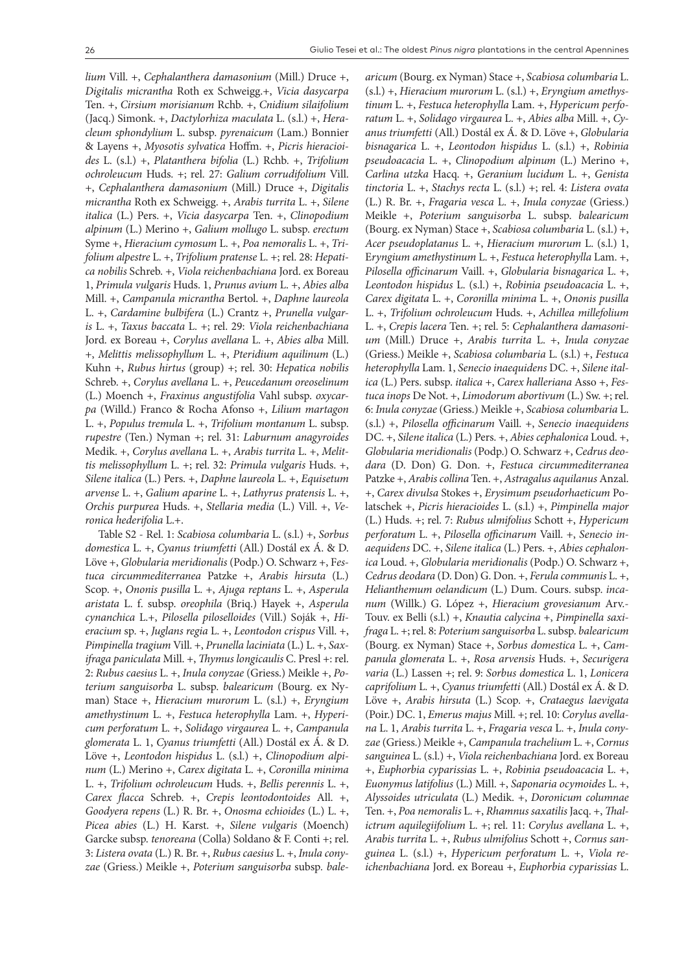*lium* Vill. +, *Cephalanthera damasonium* (Mill.) Druce +, *Digitalis micrantha* Roth ex Schweigg.+, *Vicia dasycarpa*  Ten. +, *Cirsium morisianum* Rchb. +, *Cnidium silaifolium* (Jacq.) Simonk. +, *Dactylorhiza maculata* L. (s.l.) +, *Heracleum sphondylium* L. subsp. *pyrenaicum* (Lam.) Bonnier & Layens +, *Myosotis sylvatica* Hoffm. +, *Picris hieracioides* L. (s.l.) +, *Platanthera bifolia* (L.) Rchb. +, *Trifolium ochroleucum* Huds. +; rel. 27: *Galium corrudifolium* Vill. +, *Cephalanthera damasonium* (Mill.) Druce +, *Digitalis micrantha* Roth ex Schweigg. +, *Arabis turrita* L. +, *Silene italica* (L.) Pers. +, *Vicia dasycarpa* Ten. +, *Clinopodium alpinum* (L.) Merino +, *Galium mollugo* L. subsp. *erectum* Syme +, *Hieracium cymosum* L. +, *Poa nemoralis* L. +, *Trifolium alpestre* L. +, *Trifolium pratense* L. +; rel. 28: *Hepatica nobilis* Schreb. +, *Viola reichenbachiana* Jord. ex Boreau 1, *Primula vulgaris* Huds. 1, *Prunus avium* L. +, *Abies alba* Mill. +, *Campanula micrantha* Bertol. +, *Daphne laureola* L. +, *Cardamine bulbifera* (L.) Crantz +, *Prunella vulgaris* L. +, *Taxus baccata* L. +; rel. 29: *Viola reichenbachiana* Jord. ex Boreau +, *Corylus avellana* L. +, *Abies alba* Mill. +, *Melittis melissophyllum* L. +, *Pteridium aquilinum* (L.) Kuhn +, *Rubus hirtus* (group) +; rel. 30: *Hepatica nobilis* Schreb. +, *Corylus avellana* L. +, *Peucedanum oreoselinum* (L.) Moench +, *Fraxinus angustifolia* Vahl subsp. *oxycarpa* (Willd.) Franco & Rocha Afonso +, *Lilium martagon* L. +, *Populus tremula* L. +, *Trifolium montanum* L. subsp. *rupestre* (Ten.) Nyman +; rel. 31: *Laburnum anagyroides* Medik. +, *Corylus avellana* L. +, *Arabis turrita* L. +, *Melittis melissophyllum* L. +; rel. 32: *Primula vulgaris* Huds. +, *Silene italica* (L.) Pers. +, *Daphne laureola* L. +, *Equisetum arvense* L. +, *Galium aparine* L. +, *Lathyrus pratensis* L. +, *Orchis purpurea* Huds. +, *Stellaria media* (L.) Vill. +, *Veronica hederifolia* L.+.

Table S2 - Rel. 1: *Scabiosa columbaria* L. (s.l.) +, *Sorbus domestica* L. +, *Cyanus triumfetti* (All.) Dostál ex Á. & D. Löve +, *Globularia meridionalis* (Podp.) O. Schwarz +, F*estuca circummediterranea* Patzke +, *Arabis hirsuta* (L.) Scop. +, *Ononis pusilla* L. +, *Ajuga reptans* L. +, *Asperula aristata* L. f. subsp. *oreophila* (Briq.) Hayek +, *Asperula cynanchica* L.+, *Pilosella piloselloides* (Vill.) Soják +, *Hieracium* sp. +, *Juglans regia* L. +, *Leontodon crispus* Vill. +, *Pimpinella tragium* Vill. +, *Prunella laciniata* (L.) L. +, *Saxifraga paniculata* Mill. +, *Thymus longicaulis* C. Presl +: rel. 2: *Rubus caesius* L. +, *Inula conyzae* (Griess.) Meikle +, *Poterium sanguisorba* L. subsp. *balearicum* (Bourg. ex Nyman) Stace +, *Hieracium murorum* L. (s.l.) +, *Eryngium amethystinum* L. +, *Festuca heterophylla* Lam. +, *Hypericum perforatum* L. +, *Solidago virgaurea* L. +, *Campanula glomerata* L. 1, *Cyanus triumfetti* (All.) Dostál ex Á. & D. Löve +, *Leontodon hispidus* L. (s.l.) +, *Clinopodium alpinum* (L.) Merino +, *Carex digitata* L. +, *Coronilla minima*  L. +, *Trifolium ochroleucum* Huds. +, *Bellis perennis* L. +, *Carex flacca* Schreb. +, *Crepis leontodontoides* All. +, *Goodyera repens* (L.) R. Br. +, *Onosma echioides* (L.) L. +, *Picea abies* (L.) H. Karst. +, *Silene vulgaris* (Moench) Garcke subsp. *tenoreana* (Colla) Soldano & F. Conti +; rel. 3: *Listera ovata* (L.) R. Br. +, *Rubus caesius* L. +, *Inula conyzae* (Griess.) Meikle +, *Poterium sanguisorba* subsp*. bale-* *aricum* (Bourg. ex Nyman) Stace +, *Scabiosa columbaria* L. (s.l.) +, *Hieracium murorum* L. (s.l.) +, *Eryngium amethystinum* L. +, *Festuca heterophylla* Lam. +, *Hypericum perforatum* L. +, *Solidago virgaurea* L. +, *Abies alba* Mill. +, *Cyanus triumfetti* (All.) Dostál ex Á. & D. Löve +, *Globularia bisnagarica* L. +, *Leontodon hispidus* L. (s.l.) +, *Robinia pseudoacacia* L. +, *Clinopodium alpinum* (L.) Merino +, *Carlina utzka* Hacq. +, *Geranium lucidum* L. +, *Genista tinctoria* L. +, *Stachys recta* L. (s.l.) +; rel. 4: *Listera ovata* (L.) R. Br. +, *Fragaria vesca* L. +, *Inula conyzae* (Griess.) Meikle +, *Poterium sanguisorba* L. subsp. *balearicum*  (Bourg. ex Nyman) Stace +, *Scabiosa columbaria* L. (s.l.) +, *Acer pseudoplatanus* L. +, *Hieracium murorum* L. (s.l.) 1, E*ryngium amethystinum* L. +, *Festuca heterophylla* Lam. +, *Pilosella officinarum* Vaill. +, *Globularia bisnagarica* L. +, *Leontodon hispidus* L. (s.l.) +, *Robinia pseudoacacia* L. +, *Carex digitata* L. +, *Coronilla minima* L. +, *Ononis pusilla* L. +, *Trifolium ochroleucum* Huds. +, *Achillea millefolium*  L. +, *Crepis lacera* Ten. +; rel. 5: *Cephalanthera damasonium* (Mill.) Druce +, *Arabis turrita* L. +, *Inula conyzae*  (Griess.) Meikle +, *Scabiosa columbaria* L. (s.l.) +, *Festuca heterophylla* Lam. 1, *Senecio inaequidens* DC. +, *Silene italica* (L.) Pers. subsp. *italica* +, *Carex halleriana* Asso +, *Festuca inops* De Not. +, *Limodorum abortivum* (L.) Sw. +; rel. 6: *Inula conyzae* (Griess.) Meikle +, *Scabiosa columbaria* L. (s.l.) +, *Pilosella officinarum* Vaill. +, *Senecio inaequidens*  DC. +, *Silene italica* (L.) Pers. +, *Abies cephalonica* Loud. +, *Globularia meridionalis* (Podp.) O. Schwarz +, *Cedrus deodara* (D. Don) G. Don. +, *Festuca circummediterranea* Patzke +, *Arabis collina* Ten. +, *Astragalus aquilanus* Anzal. +, *Carex divulsa* Stokes +, *Erysimum pseudorhaeticum* Polatschek +, *Picris hieracioides* L. (s.l.) +, *Pimpinella major* (L.) Huds. +; rel. 7: *Rubus ulmifolius* Schott +, *Hypericum perforatum* L. +, *Pilosella officinarum* Vaill. +, *Senecio inaequidens* DC. +, *Silene italica* (L.) Pers. +, *Abies cephalonica* Loud. +, *Globularia meridionalis* (Podp.) O. Schwarz +, *Cedrus deodara* (D. Don) G. Don. +, *Ferula communis* L. +, *Helianthemum oelandicum* (L.) Dum. Cours. subsp. *incanum* (Willk.) G. López +, *Hieracium grovesianum* Arv.- Touv. ex Belli (s.l.) +, *Knautia calycina* +, *Pimpinella saxifraga* L. +; rel. 8: *Poterium sanguisorba* L. subsp. *balearicum*  (Bourg. ex Nyman) Stace +, *Sorbus domestica* L. +, *Campanula glomerata* L. +, *Rosa arvensis* Huds. +, *Securigera varia* (L.) Lassen +; rel. 9: *Sorbus domestica* L. 1, *Lonicera caprifolium* L. +, *Cyanus triumfetti* (All.) Dostál ex Á. & D. Löve +, *Arabis hirsuta* (L.) Scop. +, *Crataegus laevigata* (Poir.) DC. 1, *Emerus majus* Mill. +; rel. 10: *Corylus avellana* L. 1, *Arabis turrita* L. +, *Fragaria vesca* L. +, *Inula conyzae* (Griess.) Meikle +, *Campanula trachelium* L. +, *Cornus sanguinea* L. (s.l.) +, *Viola reichenbachiana* Jord. ex Boreau +, *Euphorbia cyparissias* L. +, *Robinia pseudoacacia* L. +, *Euonymus latifolius* (L.) Mill. +, *Saponaria ocymoides* L. +, *Alyssoides utriculata* (L.) Medik. +, *Doronicum columnae*  Ten. +, *Poa nemoralis* L. +, *Rhamnus saxatilis* Jacq. +, *Thalictrum aquilegiifolium* L. +; rel. 11: *Corylus avellana* L. +, *Arabis turrita* L. +, *Rubus ulmifolius* Schott +, *Cornus sanguinea* L. (s.l.) +, *Hypericum perforatum* L. +, *Viola reichenbachiana* Jord. ex Boreau +, *Euphorbia cyparissias* L.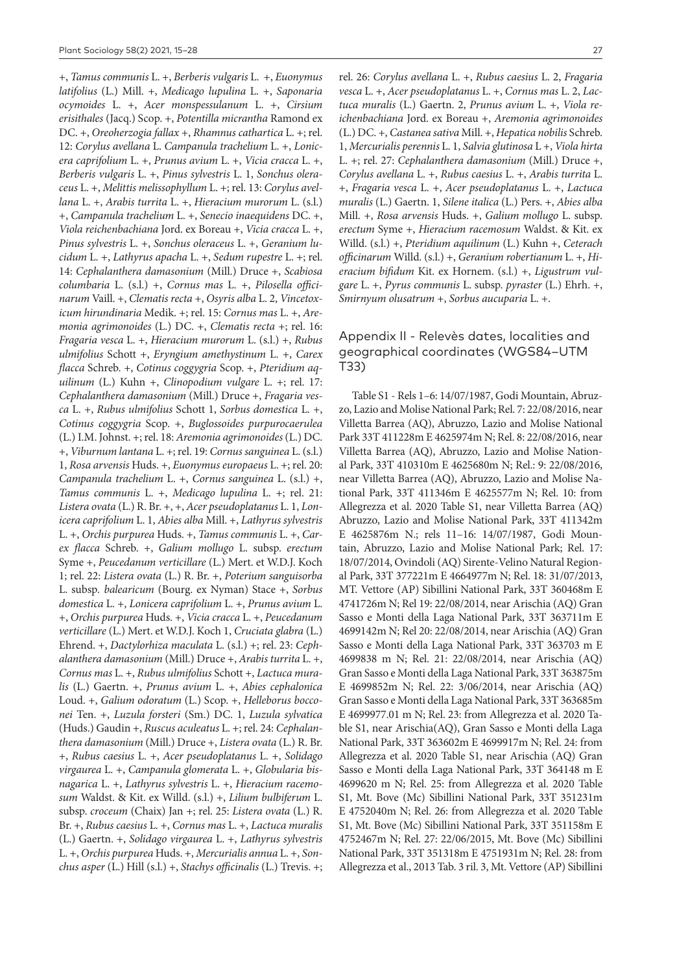+, *Tamus communis* L. +, *Berberis vulgaris* L. +, *Euonymus latifolius* (L.) Mill. +, *Medicago lupulina* L. +, *Saponaria ocymoides* L. +, *Acer monspessulanum* L. +, *Cirsium erisithales* (Jacq.) Scop. +, *Potentilla micrantha* Ramond ex DC. +, *Oreoherzogia fallax* +, *Rhamnus cathartica* L. +; rel. 12: *Corylus avellana* L. *Campanula trachelium* L. +, *Lonicera caprifolium* L. +, *Prunus avium* L. +, *Vicia cracca* L. +, *Berberis vulgaris* L. +, *Pinus sylvestris* L. 1, *Sonchus oleraceus* L. +, *Melittis melissophyllum* L. +; rel. 13: *Corylus avellana* L. +, *Arabis turrita* L. +, *Hieracium murorum* L. (s.l.) +, *Campanula trachelium* L. +, *Senecio inaequidens* DC. +, *Viola reichenbachiana* Jord. ex Boreau +, *Vicia cracca* L. +, *Pinus sylvestris* L. +, *Sonchus oleraceus* L. +, *Geranium lucidum* L. +, *Lathyrus apacha* L. +, *Sedum rupestre* L. +; rel. 14: *Cephalanthera damasonium* (Mill.) Druce +, *Scabiosa columbaria* L. (s.l.) +, *Cornus mas* L. +, *Pilosella officinarum* Vaill. +, *Clematis recta* +, *Osyris alba* L. 2, *Vincetoxicum hirundinaria* Medik. +; rel. 15: *Cornus mas* L. +, *Aremonia agrimonoides* (L.) DC. +, *Clematis recta* +; rel. 16: *Fragaria vesca* L. +, *Hieracium murorum* L. (s.l.) +, *Rubus ulmifolius* Schott +, *Eryngium amethystinum* L. +, *Carex flacca* Schreb. +, *Cotinus coggygria* Scop. +, *Pteridium aquilinum* (L.) Kuhn +, *Clinopodium vulgare* L. +; rel. 17: *Cephalanthera damasonium* (Mill.) Druce +, *Fragaria vesca* L. +, *Rubus ulmifolius* Schott 1, *Sorbus domestica* L. +, *Cotinus coggygria* Scop. +, *Buglossoides purpurocaerulea* (L.) I.M. Johnst. +; rel. 18: *Aremonia agrimonoides* (L.) DC. +, *Viburnum lantana* L. +; rel. 19: *Cornus sanguinea* L. (s.l.) 1, *Rosa arvensis* Huds. +, *Euonymus europaeus* L. +; rel. 20: *Campanula trachelium* L. +, *Cornus sanguinea* L. (s.l.) +, *Tamus communis* L. +, *Medicago lupulina* L. +; rel. 21: *Listera ovata* (L.) R. Br. +, +, *Acer pseudoplatanus* L. 1, *Lonicera caprifolium* L. 1, *Abies alba* Mill. +, *Lathyrus sylvestris* L. +, *Orchis purpurea* Huds. +, *Tamus communis* L. +, *Carex flacca* Schreb. +, *Galium mollugo* L. subsp. *erectum* Syme +, *Peucedanum verticillare* (L.) Mert. et W.D.J. Koch 1; rel. 22: *Listera ovata* (L.) R. Br. +, *Poterium sanguisorba*  L. subsp*. balearicum* (Bourg. ex Nyman) Stace +, *Sorbus domestica* L. +, *Lonicera caprifolium* L. +, *Prunus avium* L. +, *Orchis purpurea* Huds. +, *Vicia cracca* L. +, *Peucedanum verticillare* (L.) Mert. et W.D.J. Koch 1, *Cruciata glabra* (L.) Ehrend. +, *Dactylorhiza maculata* L. (s.l.) +; rel. 23: *Cephalanthera damasonium* (Mill.) Druce +, *Arabis turrita* L. +, *Cornus mas* L. +, *Rubus ulmifolius* Schott +, *Lactuca muralis* (L.) Gaertn. +, *Prunus avium* L. +, *Abies cephalonica*  Loud. +, *Galium odoratum* (L.) Scop. +, *Helleborus bocconei* Ten. +, *Luzula forsteri* (Sm.) DC. 1, *Luzula sylvatica* (Huds.) Gaudin +, *Ruscus aculeatus* L. +; rel. 24: *Cephalanthera damasonium* (Mill.) Druce +, *Listera ovata* (L.) R. Br. +, *Rubus caesius* L. +, *Acer pseudoplatanus* L. +, *Solidago virgaurea* L. +, *Campanula glomerata* L. +, *Globularia bisnagarica* L. +, *Lathyrus sylvestris* L. +, *Hieracium racemosum* Waldst. & Kit. ex Willd. (s.l.) +, *Lilium bulbiferum* L. subsp. *croceum* (Chaix) Jan +; rel. 25: *Listera ovata* (L.) R. Br. +, *Rubus caesius* L. +, *Cornus mas* L. +, *Lactuca muralis*  (L.) Gaertn. +, *Solidago virgaurea* L. +, *Lathyrus sylvestris* L. +, *Orchis purpurea* Huds. +, *Mercurialis annua* L. +, *Sonchus asper* (L.) Hill (s.l.) +, *Stachys officinalis* (L.) Trevis. +;

rel. 26: *Corylus avellana* L. +, *Rubus caesius* L. 2, *Fragaria vesca* L. +, *Acer pseudoplatanus* L. +, *Cornus mas* L. 2, *Lactuca muralis* (L.) Gaertn. 2, *Prunus avium* L. +, *Viola reichenbachiana* Jord. ex Boreau +, *Aremonia agrimonoides*  (L.) DC. +, *Castanea sativa* Mill. +, *Hepatica nobilis* Schreb. 1, *Mercurialis perennis* L. 1, *Salvia glutinosa* L +, *Viola hirta* L. +; rel. 27: *Cephalanthera damasonium* (Mill.) Druce +, *Corylus avellana* L. +, *Rubus caesius* L. +, *Arabis turrita* L. +, *Fragaria vesca* L. +, *Acer pseudoplatanus* L. +, *Lactuca muralis* (L.) Gaertn. 1, *Silene italica* (L.) Pers. +, *Abies alba* Mill. +, *Rosa arvensis* Huds. +, *Galium mollugo* L. subsp. *erectum* Syme +, *Hieracium racemosum* Waldst. & Kit. ex Willd. (s.l.) +, *Pteridium aquilinum* (L.) Kuhn +, *Ceterach officinarum* Willd. (s.l.) +, *Geranium robertianum* L. +, *Hieracium bifidum* Kit. ex Hornem. (s.l.) +, *Ligustrum vulgare* L. +, *Pyrus communis* L. subsp. *pyraster* (L.) Ehrh. +, *Smirnyum olusatrum* +, *Sorbus aucuparia* L. +.

# Appendix II - Relevès dates, localities and geographical coordinates (WGS84–UTM T33)

Table S1 - Rels 1–6: 14/07/1987, Godi Mountain, Abruzzo, Lazio and Molise National Park; Rel. 7: 22/08/2016, near Villetta Barrea (AQ), Abruzzo, Lazio and Molise National Park 33T 411228m E 4625974m N; Rel. 8: 22/08/2016, near Villetta Barrea (AQ), Abruzzo, Lazio and Molise National Park, 33T 410310m E 4625680m N; Rel.: 9: 22/08/2016, near Villetta Barrea (AQ), Abruzzo, Lazio and Molise National Park, 33T 411346m E 4625577m N; Rel. 10: from Allegrezza et al. 2020 Table S1, near Villetta Barrea (AQ) Abruzzo, Lazio and Molise National Park, 33T 411342m E 4625876m N.; rels 11–16: 14/07/1987, Godi Mountain, Abruzzo, Lazio and Molise National Park; Rel. 17: 18/07/2014, Ovindoli (AQ) Sirente-Velino Natural Regional Park, 33T 377221m E 4664977m N; Rel. 18: 31/07/2013, MT. Vettore (AP) Sibillini National Park, 33T 360468m E 4741726m N; Rel 19: 22/08/2014, near Arischia (AQ) Gran Sasso e Monti della Laga National Park, 33T 363711m E 4699142m N; Rel 20: 22/08/2014, near Arischia (AQ) Gran Sasso e Monti della Laga National Park, 33T 363703 m E 4699838 m N; Rel. 21: 22/08/2014, near Arischia (AQ) Gran Sasso e Monti della Laga National Park, 33T 363875m E 4699852m N; Rel. 22: 3/06/2014, near Arischia (AQ) Gran Sasso e Monti della Laga National Park, 33T 363685m E 4699977.01 m N; Rel. 23: from Allegrezza et al. 2020 Table S1, near Arischia(AQ), Gran Sasso e Monti della Laga National Park, 33T 363602m E 4699917m N; Rel. 24: from Allegrezza et al. 2020 Table S1, near Arischia (AQ) Gran Sasso e Monti della Laga National Park, 33T 364148 m E 4699620 m N; Rel. 25: from Allegrezza et al. 2020 Table S1, Mt. Bove (Mc) Sibillini National Park, 33T 351231m E 4752040m N; Rel. 26: from Allegrezza et al. 2020 Table S1, Mt. Bove (Mc) Sibillini National Park, 33T 351158m E 4752467m N; Rel. 27: 22/06/2015, Mt. Bove (Mc) Sibillini National Park, 33T 351318m E 4751931m N; Rel. 28: from Allegrezza et al., 2013 Tab. 3 ril. 3, Mt. Vettore (AP) Sibillini